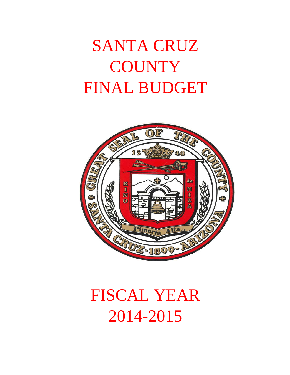# SANTA CRUZ **COUNTY** FINAL BUDGET



# FISCAL YEAR 2014-2015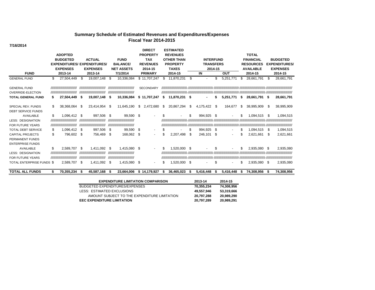#### **Summary Schedule of Estimated Revenues and Expenditures/Expenses Fiscal Year 2014-2015**

**7/16/2014**

| <b>FUND</b>                                                               |         | <b>ADOPTED</b><br><b>BUDGETED</b><br><b>EXPENDITURES/</b><br><b>EXPENSES</b><br>2013-14 |          | <b>ACTUAL</b><br><b>EXPENDITURES</b><br><b>EXPENSES</b><br>2013-14  |             | <b>FUND</b><br><b>BALANCE/</b><br><b>NET ASSETS</b><br>7/1/2014      |          | <b>DIRECT</b><br><b>PROPERTY</b><br><b>TAX</b><br><b>REVENUES</b><br>2014-15<br><b>PRIMARY</b> |         | <b>ESTIMATED</b><br><b>REVENUES</b><br><b>OTHER THAN</b><br><b>PROPERTY</b><br><b>TAXES</b><br>2014-15 | <b>INTERFUND</b><br><b>TRANSFERS</b><br>2014-15<br>IN<br>OUT |                    |           |           | <b>TOTAL</b><br><b>FINANCIAL</b><br><b>RESOURCES</b><br><b>AVAILABLE</b><br>2014-15 | <b>BUDGETED</b><br><b>EXPENDITURES/</b><br><b>EXPENSES</b><br>2014-15 |           |                        |
|---------------------------------------------------------------------------|---------|-----------------------------------------------------------------------------------------|----------|---------------------------------------------------------------------|-------------|----------------------------------------------------------------------|----------|------------------------------------------------------------------------------------------------|---------|--------------------------------------------------------------------------------------------------------|--------------------------------------------------------------|--------------------|-----------|-----------|-------------------------------------------------------------------------------------|-----------------------------------------------------------------------|-----------|------------------------|
| <b>GENERAL FUND</b>                                                       | \$      | 27,504,449                                                                              | \$       | 19,007,148                                                          | -\$         | 10.336.084                                                           |          | \$11.707.247                                                                                   | \$.     | 11,870,231                                                                                             | \$                                                           |                    | \$        | 5,251,771 | \$                                                                                  | 28,661,791                                                            | \$.       | 28,661,791             |
| <b>GENERAL FUND</b><br>OVERRIDE-ELECTION                                  |         | ,,,,,,,,,,,,,,,,,,,,,,,,,<br>,,,,,,,,,,,,,,,,,,,,,,,,,                                  |          | ,,,,,,,,,,,,,,,,,,,,,,,,,<br>,,,,,,,,,,,,,,,,,,,,,,,,,              |             | ,,,,,,,,,,,,,,,,,,,,,,,,,,<br>,,,,,,,,,,,,,,,,,,,,,,,,,,             |          | <b>SECONDARY</b>                                                                               |         |                                                                                                        |                                                              |                    |           |           |                                                                                     |                                                                       |           |                        |
| <b>TOTAL GENERAL FUND</b>                                                 | S       | 27,504,449                                                                              | S        | 19,007,148                                                          | - \$        | 10,336,084                                                           |          | \$11,707,247                                                                                   | S       | 11,870,231                                                                                             | -S                                                           |                    |           | 5.251.771 | S                                                                                   | 28.661.791 \$                                                         |           | 28,661,791             |
| SPECIAL REV. FUNDS<br>DEBT SERVICE FUNDS                                  | \$      | 38,368,064                                                                              | S        | 23,414,954                                                          | - \$        | 11,645,190                                                           | \$       | 2,472,680                                                                                      | \$      | 20,867,294                                                                                             | \$                                                           | 4,175,422          | \$        | 164.677   | \$                                                                                  | 38,995,909                                                            | S         | 38,995,909             |
| <b>AVAILABLE</b><br><b>LESS: DESIGNATION</b><br>FOR FUTURE YEARS          | \$      | 1,096,412<br>,,,,,,,,,,,,,,,,,,,,,,,,,,<br>,,,,,,,,,,,,,,,,,,,,,,,,,                    | S        | 997,506<br>,,,,,,,,,,,,,,,,,,,,,,,,,,<br>,,,,,,,,,,,,,,,,,,,,,,,,,, | - \$        | 99,590 \$<br>,,,,,,,,,,,,,,,,,,,,,,,,,<br>,,,,,,,,,,,,,,,,,,,,,,,,,, |          |                                                                                                | \$      |                                                                                                        | \$                                                           | 994.925            | \$        |           | \$                                                                                  | 1.094.515                                                             | S         | 1,094,515              |
| <b>TOTAL DEBT SERVICE</b><br><b>CAPITAL PROJECTS</b><br>PERMANENT FUNDS   | S<br>\$ | 1,096,412<br>796.602                                                                    | \$<br>\$ | 997,506<br>756.469                                                  | -\$<br>- \$ | 99,590<br>168.062                                                    | \$<br>\$ | $\overline{\phantom{a}}$<br>$\overline{\phantom{a}}$                                           | S<br>\$ | 2,207,498                                                                                              | S<br>-S                                                      | 994.925<br>246,101 | \$<br>-\$ |           |                                                                                     | 1,094,515<br>2.621.661                                                | S<br>- \$ | 1,094,515<br>2,621,661 |
| <b>ENTERPRISE FUNDS</b><br>AVAILABLE                                      | \$      | 2.589.707                                                                               | \$       | 1.411.092                                                           | \$          | 1.415.080                                                            | \$       | $\blacksquare$                                                                                 | \$      | 1.520.000                                                                                              | -\$                                                          |                    |           |           | \$                                                                                  | 2,935,080                                                             | - \$      | 2,935,080              |
| <b>LESS: DESIGNATION</b><br>FOR FUTURE YEARS<br>TOTAL ENTERPRISE FUNDS \$ |         | ,,,,,,,,,,,,,,,,,,,,,,,,,,<br>,,,,,,,,,,,,,,,,,,,,,,,,,<br>2,589,707                    | \$       | ,,,,,,,,,,,,,,,,,,,,,,,,,<br>,,,,,,,,,,,,,,,,,,,,,,,,,<br>1,411,092 | - \$        | ,,,,,,,,,,,,,,,,,,,,,,,,,<br>,,,,,,,,,,,,,,,,,,,,,,,,,,<br>1,415,080 | \$       | $\overline{\phantom{a}}$                                                                       | S       | 1,520,000 \$                                                                                           |                                                              |                    | \$        |           | \$                                                                                  | 2,935,080 \$                                                          |           | 2,935,080              |
| <b>TOTAL ALL FUNDS</b>                                                    | S       | 70.355.234                                                                              |          | 45,587,168                                                          | -S          | 23.664.006                                                           |          | \$14,179,927                                                                                   | -S      | 36,465,023                                                                                             | £.                                                           | 5,416,448          |           | 5,416,448 |                                                                                     | 74.308.956                                                            |           | 74.308.956             |

| <b>EXPENDITURE LIMITATION COMPARISON</b>     | 2013-14    | 2014-15    |
|----------------------------------------------|------------|------------|
| BUDGETED EXPENDITURES/EXPENSES               | 70,355,234 | 74,308,956 |
| LESS: ESTIMATED EXCLUSIONS                   | 49.557.946 | 53.319.666 |
| AMOUNT SUBJECT TO THE EXPENDITURE LIMITATION | 20.797.288 | 20.989.290 |
| <b>EEC EXPENDITURE LIMITATION</b>            | 20.797.289 | 20.989.291 |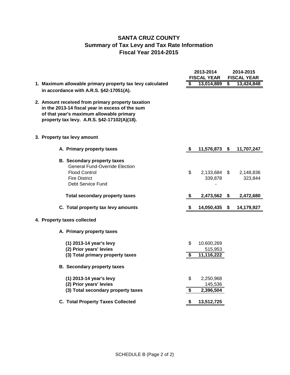## **SANTA CRUZ COUNTY Summary of Tax Levy and Tax Rate Information Fiscal Year 2014-2015**

|                                                                                                                                                                                                 | 2013-2014<br><b>FISCAL YEAR</b> |                                     |                                      | 2014-2015<br><b>FISCAL YEAR</b> |
|-------------------------------------------------------------------------------------------------------------------------------------------------------------------------------------------------|---------------------------------|-------------------------------------|--------------------------------------|---------------------------------|
| 1. Maximum allowable primary property tax levy calculated                                                                                                                                       | S                               | 13,014,889                          | $\overline{\boldsymbol{\mathsf{s}}}$ | 13,424,848                      |
| in accordance with A.R.S. §42-17051(A).                                                                                                                                                         |                                 |                                     |                                      |                                 |
| 2. Amount received from primary property taxation<br>in the 2013-14 fiscal year in excess of the sum<br>of that year's maximum allowable primary<br>property tax levy. A.R.S. §42-17102(A)(18). |                                 |                                     |                                      |                                 |
| 3. Property tax levy amount                                                                                                                                                                     |                                 |                                     |                                      |                                 |
| A. Primary property taxes                                                                                                                                                                       | - \$                            | 11,576,873 \$                       |                                      | 11,707,247                      |
| <b>B. Secondary property taxes</b><br><b>General Fund-Override Election</b><br><b>Flood Control</b><br><b>Fire District</b><br>Debt Service Fund                                                | \$                              | 2,133,684 \$<br>339,878             |                                      | 2,148,836<br>323,844            |
| <b>Total secondary property taxes</b>                                                                                                                                                           | \$                              | 2,473,562                           | - \$                                 | 2,472,680                       |
| C. Total property tax levy amounts                                                                                                                                                              | \$                              | 14,050,435                          | \$                                   | 14,179,927                      |
| 4. Property taxes collected                                                                                                                                                                     |                                 |                                     |                                      |                                 |
| A. Primary property taxes                                                                                                                                                                       |                                 |                                     |                                      |                                 |
| (1) 2013-14 year's levy<br>(2) Prior years' levies<br>(3) Total primary property taxes                                                                                                          | \$<br>S                         | 10,600,269<br>515,953<br>11,116,222 |                                      |                                 |
| <b>B.</b> Secondary property taxes                                                                                                                                                              |                                 |                                     |                                      |                                 |
| (1) 2013-14 year's levy<br>(2) Prior years' levies<br>(3) Total secondary property taxes                                                                                                        | \$<br>\$                        | 2,250,968<br>145,536<br>2,396,504   |                                      |                                 |
| <b>C. Total Property Taxes Collected</b>                                                                                                                                                        | \$                              | 13,512,725                          |                                      |                                 |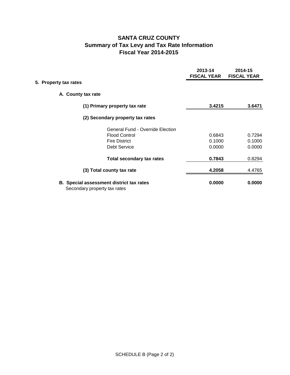## **SANTA CRUZ COUNTY Summary of Tax Levy and Tax Rate Information Fiscal Year 2014-2015**

|                       |                                                                                 | 2013-14<br><b>FISCAL YEAR</b> | 2014-15<br><b>FISCAL YEAR</b> |
|-----------------------|---------------------------------------------------------------------------------|-------------------------------|-------------------------------|
| 5. Property tax rates |                                                                                 |                               |                               |
|                       | A. County tax rate                                                              |                               |                               |
|                       | (1) Primary property tax rate                                                   | 3.4215                        | 3.6471                        |
|                       | (2) Secondary property tax rates                                                |                               |                               |
|                       | <b>General Fund - Override Election</b>                                         |                               |                               |
|                       | <b>Flood Control</b>                                                            | 0.6843                        | 0.7294                        |
|                       | <b>Fire District</b>                                                            | 0.1000                        | 0.1000                        |
|                       | <b>Debt Service</b>                                                             | 0.0000                        | 0.0000                        |
|                       | <b>Total secondary tax rates</b>                                                | 0.7843                        | 0.8294                        |
|                       | (3) Total county tax rate                                                       | 4.2058                        | 4.4765                        |
|                       | <b>B.</b> Special assessment district tax rates<br>Secondary property tax rates | 0.0000                        | 0.0000                        |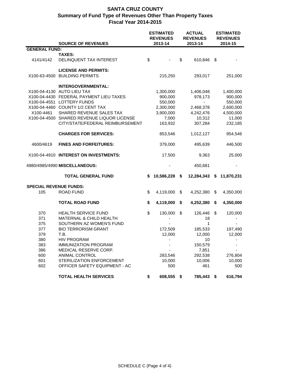|                               |                                            | <b>ESTIMATED</b><br><b>REVENUES</b> | <b>ACTUAL</b><br><b>REVENUES</b> |            | <b>ESTIMATED</b><br><b>REVENUES</b> |
|-------------------------------|--------------------------------------------|-------------------------------------|----------------------------------|------------|-------------------------------------|
|                               | <b>SOURCE OF REVENUES</b>                  | 2013-14                             |                                  | 2013-14    | 2014-15                             |
| <b>GENERAL FUND:</b>          | <b>TAXES:</b>                              |                                     |                                  |            |                                     |
| 4141/4142                     | DELINQUENT TAX INTEREST                    | \$                                  | \$                               | 610,846    | \$                                  |
|                               | <b>LICENSE AND PERMITS:</b>                |                                     |                                  |            |                                     |
| X100-63-4500                  | <b>BUILDING PERMITS</b>                    | 215,250                             |                                  | 293,017    | 251,000                             |
|                               | <b>INTERGOVERNMENTAL:</b>                  |                                     |                                  |            |                                     |
|                               | X100-04-4130 AUTO LIEU TAX                 | 1,300,000                           |                                  | 1,406,048  | 1,400,000                           |
|                               | X100-04-4430 FEDERAL PAYMENT LIEU TAXES    | 900,000                             |                                  | 978,173    | 900,000                             |
|                               | X100-04-4551 LOTTERY FUNDS                 | 550,000                             |                                  |            | 550,000                             |
|                               | X100-04-4460 COUNTY 1/2 CENT TAX           | 2,300,000                           |                                  | 2,468,378  | 2,600,000                           |
| X100-4461                     | SHARED REVENUE SALES TAX                   | 3,900,000                           |                                  | 4,242,476  | 4,500,000                           |
|                               | X100-04-4500 SHARED REVENUE LIQUOR LICENSE | 7,000                               |                                  | 10,312     | 11,000                              |
|                               | CITY/STATE/FEDERAL REIMBURSEMENT           | 163,932                             |                                  | 307,284    | 232,185                             |
|                               |                                            |                                     |                                  |            |                                     |
|                               | <b>CHARGES FOR SERVICES:</b>               | 853,546                             |                                  | 1,012,127  | 954,546                             |
| 4600/4619                     | <b>FINES AND FORFEITURES:</b>              | 379,000                             |                                  | 495,639    | 446,500                             |
|                               | X100-04-4910 INTEREST ON INVESTMENTS:      | 17,500                              |                                  | 9,363      | 25,000                              |
|                               | 4980/4985/4990 MISCELLANEOUS:              |                                     |                                  | 450,681    |                                     |
|                               | <b>TOTAL GENERAL FUND</b>                  | \$<br>10,586,228                    | \$                               | 12,284,343 | \$<br>11,870,231                    |
| <b>SPECIAL REVENUE FUNDS:</b> |                                            |                                     |                                  |            |                                     |
| 105                           | <b>ROAD FUND</b>                           | \$<br>4,119,000                     | \$                               | 4,252,380  | \$<br>4,350,000                     |
|                               | <b>TOTAL ROAD FUND</b>                     | \$<br>4,119,000                     | \$                               | 4,252,380  | \$<br>4,350,000                     |
| 370                           | <b>HEALTH SERVICE FUND</b>                 | \$<br>130,000                       | \$                               | 126,446    | \$<br>120,000                       |
| 371                           | MATERNAL & CHILD HEALTH                    |                                     |                                  | 18         |                                     |
| 375                           | SOUTHERN AZ WOMEN'S FUND                   |                                     |                                  | 1          |                                     |
| 377                           | <b>BIO TERRORISM GRANT</b>                 | 172,509                             |                                  | 185,533    | 197,490                             |
| 379                           | T.B.                                       | 12,000                              |                                  | 12,000     | 12,000                              |
| 380                           | <b>HIV PROGRAM</b>                         | $\blacksquare$                      |                                  | 10         | $\overline{\phantom{a}}$            |
| 383                           | <b>IMMUNIZATION PROGRAM</b>                |                                     |                                  | 150,579    |                                     |
| 386                           | MEDICAL RESERVE CORP.                      |                                     |                                  | 7,851      |                                     |
| 600                           | ANIMAL CONTROL                             | 283,546                             |                                  | 292,538    | 276,804                             |
| 601                           | STERILIZATION ENFORCEMENT                  | 10,000                              |                                  | 10,006     | 10,000                              |
| 602                           | OFFICER SAFETY EQUIPMENT - AC              | 500                                 |                                  | 461        | 500                                 |
|                               | <b>TOTAL HEALTH SERVICES</b>               | \$<br>608,555 \$                    |                                  | 785,443 \$ | 616,794                             |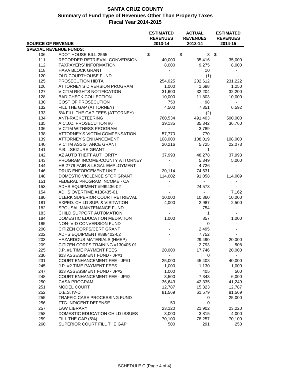| <b>SOURCE OF REVENUE</b> |                                                       | <b>ESTIMATED</b><br><b>REVENUES</b><br>2013-14 | <b>ACTUAL</b><br><b>REVENUES</b><br>2013-14 | <b>ESTIMATED</b><br><b>REVENUES</b><br>2014-15 |
|--------------------------|-------------------------------------------------------|------------------------------------------------|---------------------------------------------|------------------------------------------------|
|                          |                                                       |                                                |                                             |                                                |
|                          | <b>SPECIAL REVENUE FUNDS:</b>                         |                                                |                                             |                                                |
| 106                      | ADOT HOUSE BILL 2565                                  | \$<br>$\blacksquare$                           | \$<br>$3 \sqrt{3}$                          |                                                |
| 111                      | RECORDER RETRIEVAL CONVERSION                         | 40,000                                         | 35,416                                      | 35,000                                         |
| 112                      | <b>TAXPAYERS' INFORMATION</b>                         | 8,000                                          | 9,275                                       | 8,000                                          |
| 118                      | <b>HAVA BLOCK GRANT</b>                               |                                                | 10                                          |                                                |
| 120                      | OLD COURTHOUSE FUND                                   |                                                | (1)                                         |                                                |
| 125                      | PROSECUTION HIDTA                                     | 254,025                                        | 202,612                                     | 231,222                                        |
| 126                      | ATTORNEY'S DIVERSION PROGRAM                          | 1,000                                          | 1,688                                       | 1,250                                          |
| 127                      | <b>VICTIM RIGHTS NOTIFICATION</b>                     | 31,600                                         | 32,204                                      | 32,200                                         |
| 128                      | <b>BAD CHECK COLLECTION</b>                           | 10,000                                         | 11,803                                      | 10,000                                         |
| 130                      | COST OF PROSECUTION                                   | 750                                            | 98                                          |                                                |
| 132                      | FILL THE GAP (ATTORNEY)                               | 4,500                                          | 7,351                                       | 6,592                                          |
| 133                      | 5% FILL THE GAP FEES (ATTORNEY)                       | $\blacksquare$                                 | (2)                                         |                                                |
| 134                      | ANTI-RACKETEERING                                     | 760,534                                        | 491,403                                     | 500,000                                        |
| 135                      | A.C.J.C. PROSECUTION #6                               | 39,135                                         | 35,342                                      | 36,760                                         |
| 136                      | VICTIM WITNESS PROGRAM                                | $\sim$                                         | 3,789                                       | $\blacksquare$                                 |
| 138                      | ATTORNEY'S VICTIM COMPENSATION                        | 57,770                                         | 770                                         |                                                |
| 139                      | ATTORNEY'S ENHANCEMENT                                | 108,000                                        | 108,019                                     | 108,000                                        |
| 140                      | VICTIM ASSISTANCE GRANT                               | 20,216                                         | 5,725                                       | 22,073                                         |
| 141                      | F.B.I. SEIZURE GRANT                                  | $\sim$                                         | $\mathbf 1$                                 | $\sim$                                         |
| 142                      | AZ AUTO THEFT AUTHORITY                               | 37,993                                         | 48,278                                      | 37,993                                         |
| 143                      | PROGRAM INCOME-COUNTY ATTORNEY                        |                                                | 5,349                                       | 5,000                                          |
| 144                      | HB 2779 FAIR & LEGAL EMPLOYMENT                       |                                                | 4,726                                       |                                                |
| 146                      | DRUG ENFORCEMENT UNIT                                 | 20,114                                         | 74,631                                      |                                                |
| 148                      | DOMESTIC VIOLENCE STOP GRANT                          | 114,002                                        | 91,058                                      | 114,009                                        |
| 151                      | FEDERAL PROGRAM INCOME - CA                           |                                                |                                             |                                                |
| 153                      |                                                       |                                                |                                             |                                                |
| 154                      | ADHS EQUIPMENT #999436-02<br>ADHS OVERTIME #130435-01 |                                                | 24,573<br>$\blacksquare$                    |                                                |
|                          |                                                       |                                                |                                             | 7,162                                          |
| 180                      | CLERK SUPERIOR COURT RETRIEVAL                        | 10,000                                         | 10,360                                      | 10,000                                         |
| 181                      | EXPED. CHILD SUP. & VISITATION                        | 4,000                                          | 2,987                                       | 2,500                                          |
| 182                      | SPOUSAL MAINTENANCE FUND                              | $\blacksquare$                                 | 754                                         | $\sim$                                         |
| 183                      | CHILD SUPPORT AUTOMATION                              |                                                | $\mathbf{1}$                                |                                                |
| 184                      | DOMESTIC EDUCATION MEDIATION                          | 1,000                                          | 857                                         | 1,000                                          |
| 185                      | NON-IV-D CONVERSION FUND                              | $\blacksquare$                                 | 0                                           |                                                |
| 200                      | CITIZEN CORPS/CERT GRANT                              |                                                | 2,495                                       |                                                |
| 202                      | ADHS EQUIPMENT #888402-02                             |                                                | 7,752                                       |                                                |
| 203                      | HAZARDOUS MATERIALS (HMEP)                            |                                                | 29,490                                      | 20,000                                         |
| 209                      | CITIZEN CORPS TRAINING #130405-01                     | $\blacksquare$                                 | 2,793                                       | 508                                            |
| 225                      | J.P. #1 TIME PAYMENT FEES                             | 20,000                                         | 17,746                                      | 20,000                                         |
| 230                      | \$13 ASSESSMENT FUND - JP#1                           |                                                | 0                                           |                                                |
| 231                      | <b>COURT ENHANCEMENT FEE - JP#1</b>                   | 25,000                                         | 45,408                                      | 40,000                                         |
| 245                      | J.P. #2 TIME PAYMENT FEES                             | 1,000                                          | 1,130                                       | 1,000                                          |
| 247                      | \$13 ASSESSMENT FUND - JP#2                           | 1,000                                          | 405                                         | 500                                            |
| 248                      | <b>COURT ENHANCEMENT FEE - JP#2</b>                   | 3,500                                          | 7,343                                       | 6,000                                          |
| 250                      | <b>CASA PROGRAM</b>                                   | 36,643                                         | 42,335                                      | 41,249                                         |
| 251                      | MODEL COURT                                           | 12,787                                         | 15,323                                      | 12,787                                         |
| 252                      | D.E.S. IV-D                                           | 81,569                                         | 61,579                                      | 81,569                                         |
| 255                      | TRAFFIC CASE PROCESSING FUND                          |                                                | 0                                           | 25,000                                         |
| 256                      | FTG-INDIGENT DEFENSE                                  | 50                                             | 0                                           | $\overline{\phantom{0}}$                       |
| 257                      | <b>LAW LIBRARY</b>                                    | 23,120                                         | 21,902                                      | 23,220                                         |
| 258                      | DOMESTIC EDUCATION CHILD ISSUES                       | 3,000                                          | 3,815                                       | 4,000                                          |
| 259                      | FILL THE GAP (5%)                                     | 70,100                                         | 78,257                                      | 70,100                                         |
| 260                      | SUPERIOR COURT FILL THE GAP                           | 500                                            | 291                                         | 250                                            |
|                          |                                                       |                                                |                                             |                                                |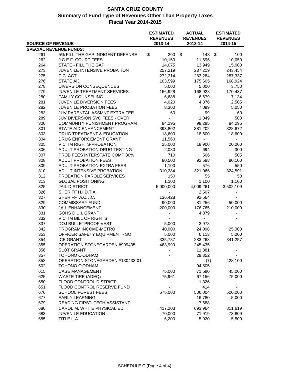| <b>SOURCE OF REVENUE</b>      |                                  | <b>ESTIMATED</b><br><b>ACTUAL</b><br><b>REVENUES</b><br><b>REVENUES</b><br>2013-14 |              | 2013-14 | <b>ESTIMATED</b><br><b>REVENUES</b><br>2014-15 |                          |
|-------------------------------|----------------------------------|------------------------------------------------------------------------------------|--------------|---------|------------------------------------------------|--------------------------|
| <b>SPECIAL REVENUE FUNDS:</b> |                                  |                                                                                    |              |         |                                                |                          |
| 261                           | 5% FILL THE GAP INDIGENT DEFENSE | \$                                                                                 | 200          | - \$    | 148                                            | \$<br>100                |
| 262                           | J.C.E.F. COURT FEES              |                                                                                    | 10,150       |         | 11,696                                         | 10,050                   |
| 264                           | STATE - FILL THE GAP             |                                                                                    | 14,075       |         | 13,949                                         | 15,000                   |
| 273                           | JUVENILE INTENSIVE PROBATION     |                                                                                    | 257,219      |         | 237,219                                        | 243,454                  |
| 275                           | PIC ACT                          |                                                                                    | 272,314      |         | 283,284                                        | 287,337                  |
| 276                           | <b>STATE AID</b>                 |                                                                                    | 163,599      |         | 175,605                                        | 168,924                  |
| 278                           | DIVERSION CONSEQUENCES           |                                                                                    | 5,000        |         | 5,000                                          | 3,750                    |
| 279                           | JUVENILE TREATMENT SERVICES      |                                                                                    | 166,928      |         | 168,928                                        | 170,437                  |
| 280                           | <b>FAMILY COUNSELING</b>         |                                                                                    | 6,688        |         | 6,679                                          | 7,134                    |
| 281                           | JUVENILE DIVERSION FEES          |                                                                                    | 4,020        |         | 4,376                                          | 2,505                    |
| 282                           | <b>JUVENILE PROBATION FEES</b>   |                                                                                    | 8,300        |         | 7,099                                          | 5,050                    |
| 283                           | JUV PARENTAL ASSMNT EXTRA FEE    |                                                                                    | 60           |         | 99                                             | 60                       |
| 289                           | JUV DIVERSION SVC FEES - OVER    |                                                                                    | $\mathbf{r}$ |         | 1,049                                          | 500                      |
| 300                           | COMMUNITY PUNISHMENT PROGRAM     |                                                                                    | 84,295       |         | 98,295                                         | 84,295                   |
| 301                           | STATE AID ENHANCEMENT            |                                                                                    | 393,802      |         | 381,202                                        | 328,672                  |
| 303                           | DRUG TREATMENT & EDUCATION       |                                                                                    | 18,600       |         | 18,600                                         | 18,600                   |
| 304                           | DRUG ENFORCEMENT GRANT           |                                                                                    | 11,560       |         | $\blacksquare$                                 |                          |
| 305                           | <b>VICTIM RIGHTS-PROBATION</b>   |                                                                                    | 25,000       |         | 18,900                                         | 20,000                   |
| 306                           | ADULT PROBATION DRUG TESTING     |                                                                                    | 2,080        |         | 694                                            | 300                      |
| 307                           | PROB FEES INTERSTATE COMP 30%    |                                                                                    | 710          |         | 506                                            | 505                      |
| 308                           | <b>ADULT PROBATION FEES</b>      |                                                                                    | 80,500       |         | 92,588                                         | 80,100                   |
| 309                           | ADULT PROBATION EXTRA FEES       |                                                                                    | 1,100        |         | 576                                            | 550                      |
| 310                           | ADULT INTENSIVE PROBATION        |                                                                                    | 310,284      |         | 321,066                                        | 324,591                  |
| 312                           | PROBATION PAROLE SERVICES        |                                                                                    | 150          |         | 55                                             | 50                       |
| 313                           | <b>GLOBAL POSITIONING</b>        |                                                                                    | 1,100        |         | 1,100                                          | 1,100                    |
| 325                           | <b>JAIL DISTRICT</b>             |                                                                                    | 5,000,000    |         | 4,009,261                                      | 3,502,109                |
| 326                           | SHERIFF H.I.D.T.A.               |                                                                                    |              |         | 2,507                                          |                          |
| 327                           | SHERIFF A.C.J.C.                 |                                                                                    | 136,428      |         | 92,564                                         |                          |
| 329                           | <b>COMMISSARY FUND</b>           |                                                                                    | 90,000       |         | 81,256                                         | 50,000                   |
| 330                           | JAIL ENHANCEMENT                 |                                                                                    | 200,000      |         | 176,765                                        | 210,000                  |
| 331                           | GOHS D.U.I. GRANT                |                                                                                    |              |         | 4,879                                          | $\overline{\phantom{a}}$ |
| 332                           | VICTIM BILL OF RIGHTS            |                                                                                    |              |         |                                                |                          |
| 337                           | DOJ BULLETPROOF VEST             |                                                                                    | 5,000        |         | 3,978                                          |                          |
| 342                           | PROGRAM INCOME-METRO             |                                                                                    | 40,000       |         | 24,098                                         | 25,000                   |
| 353                           | OFFICER SAFETY EQUIPMENT - SO    |                                                                                    | 5,000        |         | 6,113                                          | 5,000                    |
| 354                           | <b>ICE GRANT</b>                 |                                                                                    | 335,787      |         | 283,268                                        | 341,257                  |
| 355                           | OPERATION STONEGARDEN #999435    |                                                                                    | 463,999      |         | 245,435                                        |                          |
| 356                           | <b>SLOT GRANT</b>                |                                                                                    |              |         | 11,881                                         |                          |
| 357                           | TOHONO O'ODHAM                   |                                                                                    |              |         | 29,352                                         |                          |
| 358                           | OPERATION STONEGARDEN #130433-01 |                                                                                    |              |         | (7)                                            | 428,100                  |
| 502                           | TOHONO O'ODHAM                   |                                                                                    |              |         | 94,505                                         |                          |
| 615                           | <b>CASE MANAGEMENT</b>           |                                                                                    | 75,000       |         | 71,580                                         | 45,000                   |
| 625                           | <b>WASTE TIRE (ADEQ)</b>         |                                                                                    | 75,961       |         | 67,156                                         | 75,000                   |
| 650                           | FLOOD CONTROL DISTRICT           |                                                                                    |              |         | 1,326                                          |                          |
| 651                           | FLOOD CONTROL RESERVE FUND       |                                                                                    |              |         | 414                                            |                          |
| 676                           | <b>SCHOOL FOREST FEES</b>        |                                                                                    | 575,000      |         | 506,004                                        | 500,000                  |
| 677                           | <b>EARLY LEARNING</b>            |                                                                                    |              |         | 16,780                                         | 5,000                    |
| 679                           | READING FIRST, TECH ASSISTANT    |                                                                                    |              |         | 7,688                                          |                          |
| 680                           | CAROL M. WHITE PHYSICAL ED       |                                                                                    | 417,203      |         | 693,964                                        | 811,619                  |
| 683                           | JUVENILE EDUCATION               |                                                                                    | 70,000       |         | 71,919                                         | 73,809                   |
| 685                           | TITLE II-A                       |                                                                                    | 6,200        |         | 5,920                                          | 5,500                    |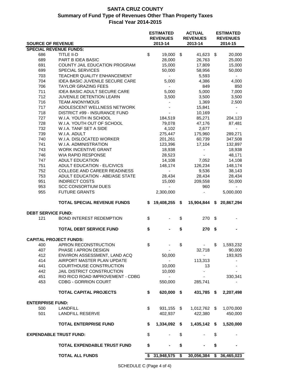|                               |                                        | <b>ESTIMATED</b> |                            | <b>ACTUAL</b> |                            |     | <b>ESTIMATED</b>           |  |  |
|-------------------------------|----------------------------------------|------------------|----------------------------|---------------|----------------------------|-----|----------------------------|--|--|
| <b>SOURCE OF REVENUE</b>      |                                        |                  | <b>REVENUES</b><br>2013-14 |               | <b>REVENUES</b><br>2013-14 |     | <b>REVENUES</b><br>2014-15 |  |  |
| <b>SPECIAL REVENUE FUNDS:</b> |                                        |                  |                            |               |                            |     |                            |  |  |
| 686                           | TITLE II-D                             | \$               | 19,000 \$                  |               | 41,623                     | \$  | 20,000                     |  |  |
| 689                           | PART B IDEA BASIC                      |                  | 28,000                     |               | 26,763                     |     | 25,000                     |  |  |
| 691                           | COUNTY JAIL EDUCATION PROGRAM          |                  | 15,000                     |               | 17,809                     |     | 15,000                     |  |  |
| 699                           | <b>SPECIAL SERVICES</b>                |                  | 50,000                     |               | 58,956                     |     | 50,000                     |  |  |
| 703                           | TEACHER QUALITY ENHANCEMENT            |                  | $\sim$                     |               | 5,593                      |     | $\blacksquare$             |  |  |
| 704                           | <b>IDEA BASIC JUVENILE SECURE CARE</b> |                  | 5,000                      |               | 4,386                      |     | 4,000                      |  |  |
| 706                           | <b>TAYLOR GRAZING FEES</b>             |                  | $\blacksquare$             |               | 849                        |     | 850                        |  |  |
| 711                           | <b>IDEA BASIC ADULT SECURE CARE</b>    |                  | 5,000                      |               | 5,000                      |     | 7,000                      |  |  |
| 712                           | JUVENILE DETENTION LEARN               |                  | 3,500                      |               | 3,500                      |     | 3,500                      |  |  |
| 716                           | <b>TEAM ANONYMOUS</b>                  |                  |                            |               | 1,369                      |     | 2,500                      |  |  |
| 717                           | ADOLESCENT WELLNESS NETWORK            |                  |                            |               | 15,841                     |     |                            |  |  |
| 718                           | DISTRICT #99 - INSURANCE FUND          |                  |                            |               | 10,169                     |     |                            |  |  |
| 727                           | W.I.A. YOUTH IN SCHOOL                 |                  | 184,519                    |               | 85,271                     |     | 204,123                    |  |  |
| 728                           | W.I.A. YOUTH OUT OF SCHOOL             |                  | 79,078                     |               | 47,176                     |     | 87,481                     |  |  |
| 732                           | W.I.A. TANF SET A SIDE                 |                  | 4,102                      |               | 2,677                      |     | $\blacksquare$             |  |  |
| 739                           | W.I.A. ADULT                           |                  | 275,447                    |               | 175,960                    |     | 289,271                    |  |  |
| 740                           | W.I.A. DISLOCATED WORKER               |                  | 201,261                    |               | 60,739                     |     | 347,508                    |  |  |
| 741                           | W.I.A. ADMINISTRATION                  |                  | 123,396                    |               | 17,104                     |     | 132,897                    |  |  |
| 743                           | WORK INCENTIVE GRANT                   |                  | 18,938                     |               | $\overline{\phantom{a}}$   |     | 18,938                     |  |  |
| 746                           | WIA RAPID RESPONSE                     |                  | 28,523                     |               | ä,                         |     | 48,171                     |  |  |
| 747                           | <b>ADULT EDUCATION</b>                 |                  | 14,108                     |               | 7,052                      |     | 14,108                     |  |  |
| 751                           | <b>ADULT EDUCATION - EL/CIVICS</b>     |                  | 148,174                    |               | 126,234                    |     | 148,174                    |  |  |
| 752                           | COLLEGE AND CAREER READINESS           |                  |                            |               | 9,536                      |     | 38,143                     |  |  |
| 753                           | ADULT EDUCATION - ABE/ASE STATE        |                  | 28,434                     |               | 28,434                     |     | 28,434                     |  |  |
| 951                           | <b>INDIRECT COSTS</b>                  |                  | 15,000                     |               | 209,558                    |     | 50,000                     |  |  |
| 953                           | <b>SCC CONSORTIUM DUES</b>             |                  |                            |               | 960                        |     |                            |  |  |
| 955                           | <b>FUTURE GRANTS</b>                   |                  | 2,300,000                  |               | ÷,                         |     | 5,000,000                  |  |  |
|                               | <b>TOTAL SPECIAL REVENUE FUNDS</b>     | S.               | 19,408,255 \$              |               | 15,904,844 \$              |     | 20,867,294                 |  |  |
| <b>DEBT SERVICE FUND:</b>     |                                        |                  |                            |               |                            |     |                            |  |  |
| 121                           | <b>BOND INTEREST REDEMPTION</b>        | \$               |                            | \$            | 270                        | \$  |                            |  |  |
|                               | <b>TOTAL DEBT SERVICE FUND</b>         | \$               |                            | \$            | 270                        | -\$ |                            |  |  |
| <b>CAPITAL PROJECT FUNDS:</b> |                                        |                  |                            |               |                            |     |                            |  |  |
| 400                           | APRON RECONSTRUCTION                   | \$               |                            | \$            | $\blacksquare$             | \$  | 1,593,232                  |  |  |
| 407                           | PHASE I APRON DESIGN                   |                  |                            |               | 32,718                     |     | 90,000                     |  |  |
| 412                           | ENVIRON ASSESSMENT, LAND ACQ           |                  | 50,000                     |               |                            |     | 193,925                    |  |  |
| 414                           | AIRPORT MASTER PLAN UPDATE             |                  |                            |               | 113,313                    |     |                            |  |  |
| 441                           | COURTHOUSE CONSTRUCTION                |                  | 10,000                     |               | 13                         |     |                            |  |  |
| 442                           | JAIL DISTRICT CONSTRUCTION             |                  | 10,000                     |               |                            |     |                            |  |  |
| 451                           | RIO RICO ROAD IMPROVEMENT - CDBG       |                  |                            |               |                            |     | 330,341                    |  |  |
| 453                           | <b>CDBG - GORRION COURT</b>            |                  | 550,000                    |               | 285,741                    |     |                            |  |  |
|                               | <b>TOTAL CAPITAL PROJECTS</b>          | \$               | 620,000                    | - \$          | 431,785 \$                 |     | 2,207,498                  |  |  |
| <b>ENTERPRISE FUND:</b>       |                                        |                  |                            |               |                            |     |                            |  |  |
| 500                           | <b>LANDFILL</b>                        | \$               | 931,155                    | $\sqrt{3}$    | 1,012,762 \$               |     | 1,070,000                  |  |  |
| 501                           | <b>LANDFILL RESERVE</b>                |                  | 402,937                    |               | 422,380                    |     | 450,000                    |  |  |
|                               | <b>TOTAL ENTERPRISE FUND</b>           | \$               | 1,334,092                  | \$            | 1,435,142                  | \$  | 1,520,000                  |  |  |
|                               |                                        |                  |                            |               |                            |     |                            |  |  |
| <b>EXPENDABLE TRUST FUND:</b> |                                        | \$               |                            | \$            |                            | \$  |                            |  |  |
|                               | <b>TOTAL EXPENDABLE TRUST FUND</b>     | \$               |                            | \$            |                            | \$  |                            |  |  |
|                               | <b>TOTAL ALL FUNDS</b>                 |                  | \$31,948,575               | \$            | 30,056,384                 | \$  | 36,465,023                 |  |  |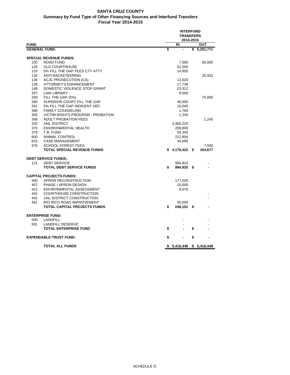#### **SANTA CRUZ COUNTY Summary by Fund Type of Other Financing Sources and Interfund Transfers Fiscal Year 2014-2015**

| <b>FUND</b><br>IN<br>ουτ<br>\$<br>\$5,251,771<br><b>GENERAL FUND:</b><br><b>SPECIAL REVENUE FUNDS:</b><br>105<br><b>ROAD FUND</b><br>7,500<br>50,000<br>120<br><b>OLD COURTHOUSE</b><br>51,500<br>133<br>5% FILL THE GAP FEES CTY ATTY<br>14,955<br>134<br><b>ANTI-RACKETEERING</b><br>35,932<br>135<br>ACJC PROSECUTION (CA)<br>12,620<br>139<br><b>ATTORNEY'S ENHANCEMENT</b><br>17,738<br>148<br>DOMESTIC VIOLENCE STOP GRANT<br>23,312<br>257<br><b>LAW LIBRARY</b><br>8,000<br>259<br>FILL THE GAP (5%)<br>70,000<br>260<br>SUPERIOR COURT FILL THE GAP<br>45,000<br>261<br>5% FILL THE GAP INDIGENT DEF.<br>10,045<br>280<br><b>FAMILY COUNSELING</b><br>1,784<br>305<br><b>VICTIM RIGHTS PROGRAM - PROBATION</b><br>1,245<br>308<br><b>ADULT PROBATION FEES</b><br>1,245<br>325<br><b>JAIL DISTRICT</b><br>3,460,225<br>370<br>ENVIRONMENTAL HEALTH<br>209,809<br>379<br>T.B. FUND<br>54,200<br>600<br><b>ANIMAL CONTROL</b><br>212,804<br>615<br><b>CASE MANAGEMENT</b><br>44,685<br>676<br><b>SCHOOL FOREST FEES</b><br>7,500<br><b>TOTAL SPECIAL REVENUE FUNDS</b><br>\$4,175,422<br>- \$<br>164,677<br><b>DEBT SERVICE FUNDS:</b><br>121<br><b>DEBT SERVICE</b><br>994,925<br><b>TOTAL DEBT SERVICE FUNDS</b><br>\$<br>994,925<br>\$<br><b>CAPITAL PROJECTS FUNDS:</b><br>400<br>APRON RECONSTRUCTION<br>177,026<br>407<br><b>PHASE I APRON DESIGN</b><br>10,000<br>412<br>ENVIRONMENTAL ASSESSMENT<br>9,075<br>441<br><b>COURTHOUSE CONSTRUCTION</b><br><b>JAIL DISTRICT CONSTRUCTION</b><br>442<br>451<br>RIO RICO ROAD IMPROVEMENT<br>50,000<br>TOTAL CAPITAL PROJECTS FUNDS<br>\$<br>246,101<br>\$<br><b>ENTERPRISE FUND:</b><br>500<br><b>LANDFILL</b><br>501<br><b>LANDFILL RESERVE</b><br>\$<br><b>TOTAL ENTERPRISE FUND</b><br>\$<br>\$<br><b>EXPENDABLE TRUST FUND:</b><br>\$<br><b>TOTAL ALL FUNDS</b><br>\$ 5,416,448<br>\$ 5,416,448 |  | <b>INTERFUND</b><br><b>TRANSFERS</b><br>2014-2015 |  |  |  |
|-------------------------------------------------------------------------------------------------------------------------------------------------------------------------------------------------------------------------------------------------------------------------------------------------------------------------------------------------------------------------------------------------------------------------------------------------------------------------------------------------------------------------------------------------------------------------------------------------------------------------------------------------------------------------------------------------------------------------------------------------------------------------------------------------------------------------------------------------------------------------------------------------------------------------------------------------------------------------------------------------------------------------------------------------------------------------------------------------------------------------------------------------------------------------------------------------------------------------------------------------------------------------------------------------------------------------------------------------------------------------------------------------------------------------------------------------------------------------------------------------------------------------------------------------------------------------------------------------------------------------------------------------------------------------------------------------------------------------------------------------------------------------------------------------------------------------------------------------------------|--|---------------------------------------------------|--|--|--|
|                                                                                                                                                                                                                                                                                                                                                                                                                                                                                                                                                                                                                                                                                                                                                                                                                                                                                                                                                                                                                                                                                                                                                                                                                                                                                                                                                                                                                                                                                                                                                                                                                                                                                                                                                                                                                                                             |  |                                                   |  |  |  |
|                                                                                                                                                                                                                                                                                                                                                                                                                                                                                                                                                                                                                                                                                                                                                                                                                                                                                                                                                                                                                                                                                                                                                                                                                                                                                                                                                                                                                                                                                                                                                                                                                                                                                                                                                                                                                                                             |  |                                                   |  |  |  |
|                                                                                                                                                                                                                                                                                                                                                                                                                                                                                                                                                                                                                                                                                                                                                                                                                                                                                                                                                                                                                                                                                                                                                                                                                                                                                                                                                                                                                                                                                                                                                                                                                                                                                                                                                                                                                                                             |  |                                                   |  |  |  |
|                                                                                                                                                                                                                                                                                                                                                                                                                                                                                                                                                                                                                                                                                                                                                                                                                                                                                                                                                                                                                                                                                                                                                                                                                                                                                                                                                                                                                                                                                                                                                                                                                                                                                                                                                                                                                                                             |  |                                                   |  |  |  |
|                                                                                                                                                                                                                                                                                                                                                                                                                                                                                                                                                                                                                                                                                                                                                                                                                                                                                                                                                                                                                                                                                                                                                                                                                                                                                                                                                                                                                                                                                                                                                                                                                                                                                                                                                                                                                                                             |  |                                                   |  |  |  |
|                                                                                                                                                                                                                                                                                                                                                                                                                                                                                                                                                                                                                                                                                                                                                                                                                                                                                                                                                                                                                                                                                                                                                                                                                                                                                                                                                                                                                                                                                                                                                                                                                                                                                                                                                                                                                                                             |  |                                                   |  |  |  |
|                                                                                                                                                                                                                                                                                                                                                                                                                                                                                                                                                                                                                                                                                                                                                                                                                                                                                                                                                                                                                                                                                                                                                                                                                                                                                                                                                                                                                                                                                                                                                                                                                                                                                                                                                                                                                                                             |  |                                                   |  |  |  |
|                                                                                                                                                                                                                                                                                                                                                                                                                                                                                                                                                                                                                                                                                                                                                                                                                                                                                                                                                                                                                                                                                                                                                                                                                                                                                                                                                                                                                                                                                                                                                                                                                                                                                                                                                                                                                                                             |  |                                                   |  |  |  |
|                                                                                                                                                                                                                                                                                                                                                                                                                                                                                                                                                                                                                                                                                                                                                                                                                                                                                                                                                                                                                                                                                                                                                                                                                                                                                                                                                                                                                                                                                                                                                                                                                                                                                                                                                                                                                                                             |  |                                                   |  |  |  |
|                                                                                                                                                                                                                                                                                                                                                                                                                                                                                                                                                                                                                                                                                                                                                                                                                                                                                                                                                                                                                                                                                                                                                                                                                                                                                                                                                                                                                                                                                                                                                                                                                                                                                                                                                                                                                                                             |  |                                                   |  |  |  |
|                                                                                                                                                                                                                                                                                                                                                                                                                                                                                                                                                                                                                                                                                                                                                                                                                                                                                                                                                                                                                                                                                                                                                                                                                                                                                                                                                                                                                                                                                                                                                                                                                                                                                                                                                                                                                                                             |  |                                                   |  |  |  |
|                                                                                                                                                                                                                                                                                                                                                                                                                                                                                                                                                                                                                                                                                                                                                                                                                                                                                                                                                                                                                                                                                                                                                                                                                                                                                                                                                                                                                                                                                                                                                                                                                                                                                                                                                                                                                                                             |  |                                                   |  |  |  |
|                                                                                                                                                                                                                                                                                                                                                                                                                                                                                                                                                                                                                                                                                                                                                                                                                                                                                                                                                                                                                                                                                                                                                                                                                                                                                                                                                                                                                                                                                                                                                                                                                                                                                                                                                                                                                                                             |  |                                                   |  |  |  |
|                                                                                                                                                                                                                                                                                                                                                                                                                                                                                                                                                                                                                                                                                                                                                                                                                                                                                                                                                                                                                                                                                                                                                                                                                                                                                                                                                                                                                                                                                                                                                                                                                                                                                                                                                                                                                                                             |  |                                                   |  |  |  |
|                                                                                                                                                                                                                                                                                                                                                                                                                                                                                                                                                                                                                                                                                                                                                                                                                                                                                                                                                                                                                                                                                                                                                                                                                                                                                                                                                                                                                                                                                                                                                                                                                                                                                                                                                                                                                                                             |  |                                                   |  |  |  |
|                                                                                                                                                                                                                                                                                                                                                                                                                                                                                                                                                                                                                                                                                                                                                                                                                                                                                                                                                                                                                                                                                                                                                                                                                                                                                                                                                                                                                                                                                                                                                                                                                                                                                                                                                                                                                                                             |  |                                                   |  |  |  |
|                                                                                                                                                                                                                                                                                                                                                                                                                                                                                                                                                                                                                                                                                                                                                                                                                                                                                                                                                                                                                                                                                                                                                                                                                                                                                                                                                                                                                                                                                                                                                                                                                                                                                                                                                                                                                                                             |  |                                                   |  |  |  |
|                                                                                                                                                                                                                                                                                                                                                                                                                                                                                                                                                                                                                                                                                                                                                                                                                                                                                                                                                                                                                                                                                                                                                                                                                                                                                                                                                                                                                                                                                                                                                                                                                                                                                                                                                                                                                                                             |  |                                                   |  |  |  |
|                                                                                                                                                                                                                                                                                                                                                                                                                                                                                                                                                                                                                                                                                                                                                                                                                                                                                                                                                                                                                                                                                                                                                                                                                                                                                                                                                                                                                                                                                                                                                                                                                                                                                                                                                                                                                                                             |  |                                                   |  |  |  |
|                                                                                                                                                                                                                                                                                                                                                                                                                                                                                                                                                                                                                                                                                                                                                                                                                                                                                                                                                                                                                                                                                                                                                                                                                                                                                                                                                                                                                                                                                                                                                                                                                                                                                                                                                                                                                                                             |  |                                                   |  |  |  |
|                                                                                                                                                                                                                                                                                                                                                                                                                                                                                                                                                                                                                                                                                                                                                                                                                                                                                                                                                                                                                                                                                                                                                                                                                                                                                                                                                                                                                                                                                                                                                                                                                                                                                                                                                                                                                                                             |  |                                                   |  |  |  |
|                                                                                                                                                                                                                                                                                                                                                                                                                                                                                                                                                                                                                                                                                                                                                                                                                                                                                                                                                                                                                                                                                                                                                                                                                                                                                                                                                                                                                                                                                                                                                                                                                                                                                                                                                                                                                                                             |  |                                                   |  |  |  |
|                                                                                                                                                                                                                                                                                                                                                                                                                                                                                                                                                                                                                                                                                                                                                                                                                                                                                                                                                                                                                                                                                                                                                                                                                                                                                                                                                                                                                                                                                                                                                                                                                                                                                                                                                                                                                                                             |  |                                                   |  |  |  |
|                                                                                                                                                                                                                                                                                                                                                                                                                                                                                                                                                                                                                                                                                                                                                                                                                                                                                                                                                                                                                                                                                                                                                                                                                                                                                                                                                                                                                                                                                                                                                                                                                                                                                                                                                                                                                                                             |  |                                                   |  |  |  |
|                                                                                                                                                                                                                                                                                                                                                                                                                                                                                                                                                                                                                                                                                                                                                                                                                                                                                                                                                                                                                                                                                                                                                                                                                                                                                                                                                                                                                                                                                                                                                                                                                                                                                                                                                                                                                                                             |  |                                                   |  |  |  |
|                                                                                                                                                                                                                                                                                                                                                                                                                                                                                                                                                                                                                                                                                                                                                                                                                                                                                                                                                                                                                                                                                                                                                                                                                                                                                                                                                                                                                                                                                                                                                                                                                                                                                                                                                                                                                                                             |  |                                                   |  |  |  |
|                                                                                                                                                                                                                                                                                                                                                                                                                                                                                                                                                                                                                                                                                                                                                                                                                                                                                                                                                                                                                                                                                                                                                                                                                                                                                                                                                                                                                                                                                                                                                                                                                                                                                                                                                                                                                                                             |  |                                                   |  |  |  |
|                                                                                                                                                                                                                                                                                                                                                                                                                                                                                                                                                                                                                                                                                                                                                                                                                                                                                                                                                                                                                                                                                                                                                                                                                                                                                                                                                                                                                                                                                                                                                                                                                                                                                                                                                                                                                                                             |  |                                                   |  |  |  |
|                                                                                                                                                                                                                                                                                                                                                                                                                                                                                                                                                                                                                                                                                                                                                                                                                                                                                                                                                                                                                                                                                                                                                                                                                                                                                                                                                                                                                                                                                                                                                                                                                                                                                                                                                                                                                                                             |  |                                                   |  |  |  |
|                                                                                                                                                                                                                                                                                                                                                                                                                                                                                                                                                                                                                                                                                                                                                                                                                                                                                                                                                                                                                                                                                                                                                                                                                                                                                                                                                                                                                                                                                                                                                                                                                                                                                                                                                                                                                                                             |  |                                                   |  |  |  |
|                                                                                                                                                                                                                                                                                                                                                                                                                                                                                                                                                                                                                                                                                                                                                                                                                                                                                                                                                                                                                                                                                                                                                                                                                                                                                                                                                                                                                                                                                                                                                                                                                                                                                                                                                                                                                                                             |  |                                                   |  |  |  |
|                                                                                                                                                                                                                                                                                                                                                                                                                                                                                                                                                                                                                                                                                                                                                                                                                                                                                                                                                                                                                                                                                                                                                                                                                                                                                                                                                                                                                                                                                                                                                                                                                                                                                                                                                                                                                                                             |  |                                                   |  |  |  |
|                                                                                                                                                                                                                                                                                                                                                                                                                                                                                                                                                                                                                                                                                                                                                                                                                                                                                                                                                                                                                                                                                                                                                                                                                                                                                                                                                                                                                                                                                                                                                                                                                                                                                                                                                                                                                                                             |  |                                                   |  |  |  |
|                                                                                                                                                                                                                                                                                                                                                                                                                                                                                                                                                                                                                                                                                                                                                                                                                                                                                                                                                                                                                                                                                                                                                                                                                                                                                                                                                                                                                                                                                                                                                                                                                                                                                                                                                                                                                                                             |  |                                                   |  |  |  |
|                                                                                                                                                                                                                                                                                                                                                                                                                                                                                                                                                                                                                                                                                                                                                                                                                                                                                                                                                                                                                                                                                                                                                                                                                                                                                                                                                                                                                                                                                                                                                                                                                                                                                                                                                                                                                                                             |  |                                                   |  |  |  |
|                                                                                                                                                                                                                                                                                                                                                                                                                                                                                                                                                                                                                                                                                                                                                                                                                                                                                                                                                                                                                                                                                                                                                                                                                                                                                                                                                                                                                                                                                                                                                                                                                                                                                                                                                                                                                                                             |  |                                                   |  |  |  |
|                                                                                                                                                                                                                                                                                                                                                                                                                                                                                                                                                                                                                                                                                                                                                                                                                                                                                                                                                                                                                                                                                                                                                                                                                                                                                                                                                                                                                                                                                                                                                                                                                                                                                                                                                                                                                                                             |  |                                                   |  |  |  |
|                                                                                                                                                                                                                                                                                                                                                                                                                                                                                                                                                                                                                                                                                                                                                                                                                                                                                                                                                                                                                                                                                                                                                                                                                                                                                                                                                                                                                                                                                                                                                                                                                                                                                                                                                                                                                                                             |  |                                                   |  |  |  |
|                                                                                                                                                                                                                                                                                                                                                                                                                                                                                                                                                                                                                                                                                                                                                                                                                                                                                                                                                                                                                                                                                                                                                                                                                                                                                                                                                                                                                                                                                                                                                                                                                                                                                                                                                                                                                                                             |  |                                                   |  |  |  |
|                                                                                                                                                                                                                                                                                                                                                                                                                                                                                                                                                                                                                                                                                                                                                                                                                                                                                                                                                                                                                                                                                                                                                                                                                                                                                                                                                                                                                                                                                                                                                                                                                                                                                                                                                                                                                                                             |  |                                                   |  |  |  |
|                                                                                                                                                                                                                                                                                                                                                                                                                                                                                                                                                                                                                                                                                                                                                                                                                                                                                                                                                                                                                                                                                                                                                                                                                                                                                                                                                                                                                                                                                                                                                                                                                                                                                                                                                                                                                                                             |  |                                                   |  |  |  |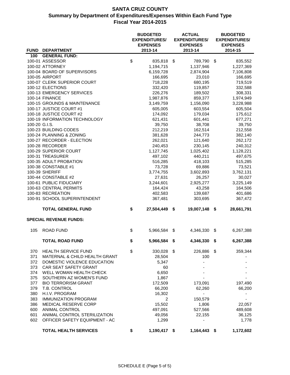|               |                                                 | <b>BUDGETED</b><br><b>EXPENDITURES/</b><br><b>EXPENSES</b> | <b>ACTUAL</b><br><b>EXPENDITURES/</b><br><b>EXPENSES</b> |                    |      | <b>BUDGETED</b><br><b>EXPENDITURES/</b><br><b>EXPENSES</b> |  |  |  |
|---------------|-------------------------------------------------|------------------------------------------------------------|----------------------------------------------------------|--------------------|------|------------------------------------------------------------|--|--|--|
|               | FUND DEPARTMENT                                 | 2013-14                                                    |                                                          | 2013-14            |      | 2014-15                                                    |  |  |  |
| 100           | <b>GENERAL FUND:</b>                            |                                                            |                                                          |                    |      |                                                            |  |  |  |
|               | 100-01 ASSESSOR                                 | \$<br>835,818                                              | \$                                                       | 789,790            | - \$ | 835,552                                                    |  |  |  |
|               | 100-02 ATTORNEY                                 | 1,194,715                                                  |                                                          | 1,137,946          |      | 1,227,369                                                  |  |  |  |
|               | 100-04 BOARD OF SUPERVISORS                     | 6,159,728                                                  |                                                          | 2,874,904          |      | 7,106,808                                                  |  |  |  |
|               | 100-05 AIRPORT                                  | 166,695                                                    |                                                          | 23,010             |      | 166,695                                                    |  |  |  |
|               | 100-07 CLERK SUPERIOR COURT<br>100-12 ELECTIONS | 718,228                                                    |                                                          | 680,195            |      | 719,519                                                    |  |  |  |
|               | 100-13 EMERGENCY SERVICES                       | 332,420<br>226,276                                         |                                                          | 119,857<br>189,502 |      | 332,588<br>308,331                                         |  |  |  |
|               | 100-14 FINANCE                                  | 1,987,876                                                  |                                                          | 859,377            |      | 1,974,949                                                  |  |  |  |
|               | 100-15 GROUNDS & MAINTENANCE                    | 3,149,759                                                  |                                                          | 1,156,090          |      | 3,228,988                                                  |  |  |  |
|               | 100-17 JUSTICE COURT #1                         | 605,005                                                    |                                                          | 603,554            |      | 605,504                                                    |  |  |  |
|               | 100-18 JUSTICE COURT #2                         | 174,092                                                    |                                                          | 179,034            |      | 175,612                                                    |  |  |  |
|               | 100-19 INFORMATION TECHNOLOGY                   | 621,431                                                    |                                                          | 601,441            |      | 677,271                                                    |  |  |  |
| 100-20 G.I.S. |                                                 | 39,750                                                     |                                                          | 38,708             |      | 39,750                                                     |  |  |  |
|               | 100-23 BUILDING CODES                           | 212,219                                                    |                                                          | 162,514            |      | 212,558                                                    |  |  |  |
|               | 100-24 PLANNING & ZONING                        | 381,628                                                    |                                                          | 244,773            |      | 382,140                                                    |  |  |  |
|               | 100-27 RECORDER - ELECTION                      | 262,021                                                    |                                                          | 121,640            |      | 262,172                                                    |  |  |  |
|               | 100-28 RECORDER                                 | 240,453                                                    |                                                          | 230,145            |      | 240,312                                                    |  |  |  |
|               | 100-29 SUPERIOR COURT                           | 1,127,745                                                  |                                                          | 1,025,402          |      | 1,128,221                                                  |  |  |  |
|               | 100-31 TREASURER                                | 497,102                                                    |                                                          | 440,211            |      | 497,675                                                    |  |  |  |
|               | 100-35 ADULT PROBATION                          | 516,285                                                    |                                                          | 418,103            |      | 515,285                                                    |  |  |  |
|               | 100-38 CONSTABLE #1                             | 73,728                                                     |                                                          | 69,886             |      | 73,521                                                     |  |  |  |
|               | 100-39 SHERIFF                                  | 3,774,755                                                  |                                                          | 3,602,893          |      | 3,762,131                                                  |  |  |  |
|               | 100-44 CONSTABLE #2                             | 27,631                                                     |                                                          | 26,257             |      | 30,027                                                     |  |  |  |
|               | 100-61 PUBLIC FIDUCIARY                         | 3,244,601                                                  |                                                          | 2,925,277          |      | 3,225,149                                                  |  |  |  |
|               | 100-63 CENTRAL PERMITS                          | 164,424                                                    |                                                          | 43,258             |      | 164,506                                                    |  |  |  |
|               | 100-83 RECREATION                               | 402,583                                                    |                                                          | 139,687            |      | 401,686                                                    |  |  |  |
|               | 100-91 SCHOOL SUPERINTENDENT                    | 367,481                                                    |                                                          | 303,695            |      | 367,472                                                    |  |  |  |
|               | <b>TOTAL GENERAL FUND</b>                       | \$<br>27,504,449 \$                                        |                                                          | 19,007,148         | - \$ | 28,661,791                                                 |  |  |  |
|               | <b>SPECIAL REVENUE FUNDS:</b>                   |                                                            |                                                          |                    |      |                                                            |  |  |  |
| 105           | <b>ROAD FUND</b>                                | \$<br>5,966,584                                            | \$                                                       | 4,346,330          | \$   | 6,267,388                                                  |  |  |  |
|               | <b>TOTAL ROAD FUND</b>                          | \$<br>5,966,584                                            | \$                                                       | 4,346,330          | \$   | 6,267,388                                                  |  |  |  |
| 370           | <b>HEALTH SERVICE FUND</b>                      | \$<br>330,028                                              | \$                                                       | 226,886            | \$   | 359,344                                                    |  |  |  |
| 371           | MATERNAL & CHILD HEALTH GRANT                   | 28,504                                                     |                                                          | 100                |      |                                                            |  |  |  |
| 372           | DOMESTIC VIOLENCE EDUCATION                     | 5,347                                                      |                                                          |                    |      |                                                            |  |  |  |
| 373           | CAR SEAT SAFETY GRANT                           | 60                                                         |                                                          |                    |      |                                                            |  |  |  |
| 374           | WELL WOMAN HEALTH CHECK                         | 6,650                                                      |                                                          |                    |      |                                                            |  |  |  |
| 375           | SOUTHERN AZ WOMEN'S FUND                        | 1,867                                                      |                                                          |                    |      |                                                            |  |  |  |
| 377           | <b>BIO TERRORISM GRANT</b>                      | 172,509                                                    |                                                          | 173,091            |      | 197,490                                                    |  |  |  |
| 379           | T.B. CONTROL                                    | 66,200                                                     |                                                          | 62,260             |      | 66,200                                                     |  |  |  |
| 380           | H.I.V. PROGRAM                                  | 16,302                                                     |                                                          |                    |      |                                                            |  |  |  |
| 383           | <b>IMMUNIZATION PROGRAM</b>                     | 2                                                          |                                                          | 150,579            |      |                                                            |  |  |  |
| 386           | <b>MEDICAL RESERVE CORP</b>                     | 15,502                                                     |                                                          | 1,806              |      | 22,057                                                     |  |  |  |
| 600           | <b>ANIMAL CONTROL</b>                           | 497,091                                                    |                                                          | 527,566            |      | 489,608                                                    |  |  |  |
| 601           | ANIMAL CONTROL STERILIZATION                    | 49,056                                                     |                                                          | 22,155             |      | 36,125                                                     |  |  |  |
| 602           | OFFICER SAFETY EQUIPMENT - AC                   | 1,299                                                      |                                                          |                    |      | 1,778                                                      |  |  |  |
|               | <b>TOTAL HEALTH SERVICES</b>                    | \$<br>1,190,417 \$                                         |                                                          | 1,164,443 \$       |      | 1,172,602                                                  |  |  |  |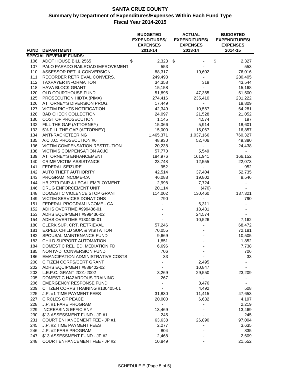|     |                                          | <b>BUDGETED</b><br><b>EXPENDITURES/</b><br><b>EXPENSES</b> | <b>ACTUAL</b><br><b>EXPENDITURES/</b><br><b>EXPENSES</b> |                          |    |         |
|-----|------------------------------------------|------------------------------------------------------------|----------------------------------------------------------|--------------------------|----|---------|
|     | FUND DEPARTMENT                          | 2013-14                                                    |                                                          | 2013-14                  |    | 2014-15 |
|     | <b>SPECIAL REVENUE FUNDS:</b>            |                                                            |                                                          |                          |    |         |
| 106 | ADOT HOUSE BILL 2565                     | \$<br>$2,323$ \$                                           |                                                          |                          | \$ | 2,327   |
| 107 | PALO PARADO RAILROAD IMPROVEMENT         | 553                                                        |                                                          |                          |    | 553     |
| 110 | ASSESSOR RET. & CONVERSION               | 88,317                                                     |                                                          | 10,602                   |    | 76,016  |
| 111 | RECORDER RETRIEVAL CONVERS.              | 249,493                                                    |                                                          | $\blacksquare$           |    | 280,405 |
| 112 | <b>TAXPAYER INFORMATION</b>              | 34,358                                                     |                                                          | 319                      |    | 43,544  |
| 118 | <b>HAVA BLOCK GRANT</b>                  | 15,158                                                     |                                                          |                          |    | 15,168  |
| 120 | OLD COURTHOUSE FUND                      | 51,895                                                     |                                                          | 47,365                   |    | 51,500  |
| 125 | PROSECUTION HIDTA (PIMA)                 | 274,416                                                    |                                                          | 235,410                  |    | 231,222 |
| 126 | ATTORNEY'S DIVERSION PROG.               | 17,449                                                     |                                                          |                          |    | 19,809  |
| 127 | <b>VICTIM RIGHTS NOTIFICATION</b>        | 42,349                                                     |                                                          | 10,567                   |    | 64,281  |
| 128 | <b>BAD CHECK COLLECTION</b>              | 24,097                                                     |                                                          | 21,528                   |    | 21,052  |
| 130 | COST OF PROSECUTION                      | 1,145                                                      |                                                          | 4,574                    |    | 197     |
| 132 | FILL THE GAP (ATTORNEY)                  | 15,066                                                     |                                                          | 5,914                    |    | 18,601  |
| 133 | 5% FILL THE GAP (ATTORNEY)               | 15,000                                                     |                                                          | 15,067                   |    | 16,857  |
| 134 | ANTI-RACKETEERING                        | 1,465,371                                                  |                                                          | 1,037,166                |    | 760,327 |
| 135 | A.C.J.C. PROSECUTION #6                  | 48,930                                                     |                                                          | 52,706                   |    | 49,380  |
| 136 | VICTIM COMPENSATION RESTITUTION          | 20,238                                                     |                                                          |                          |    | 24,438  |
| 138 | VICTIM'S COMPENSATION ACJC               | 57,770                                                     |                                                          | 5,549                    |    | ÷,      |
| 139 | <b>ATTORNEY'S ENHANCEMENT</b>            | 184,976                                                    |                                                          | 161,941                  |    | 166,152 |
| 140 | <b>CRIME VICTIM ASSISTANCE</b>           | 23,748                                                     |                                                          | 12,555                   |    | 22,073  |
| 141 | <b>FEDERAL SEIZURE</b>                   | 952                                                        |                                                          | $\overline{\phantom{0}}$ |    | 952     |
| 142 | AUTO THEFT AUTHORITY                     | 42,514                                                     |                                                          | 37,404                   |    | 52,735  |
| 143 | PROGRAM INCOME-CA                        | 46,088                                                     |                                                          | 19,802                   |    | 9,546   |
| 144 | HB 2779 FAIR & LEGAL EMPLOYMENT          | 2,998                                                      |                                                          | 7,724                    |    |         |
| 146 | DRUG ENFORCEMENT UNIT                    | 20,114                                                     |                                                          | (470)                    |    |         |
| 148 | DOMESTIC VIOLENCE STOP GRANT             | 114,002                                                    |                                                          | 130,460                  |    | 137,321 |
| 149 | VICTIM SERVICES DONATIONS                | 790                                                        |                                                          |                          |    | 790     |
| 151 | FEDERAL PROGRAM INCOME - CA              |                                                            |                                                          | 6,311                    |    |         |
| 152 | ADHS OVERTIME #999436-01                 |                                                            |                                                          | 18,431                   |    |         |
| 153 | ADHS EQUIPMENT #999436-02                |                                                            |                                                          | 24,574                   |    |         |
| 154 | ADHS OVERTIME #130435-01                 |                                                            |                                                          | 10,526                   |    | 7,162   |
| 180 | CLERK SUP. CRT. RETRIEVAL                | 57,246                                                     |                                                          |                          |    | 68,472  |
| 181 | EXPED. CHILD SUP. & VISITATION           | 70,055                                                     |                                                          |                          |    | 72,181  |
| 182 | SPOUSAL MAINTENANCE FUND                 | 9,669                                                      |                                                          |                          |    | 10,505  |
| 183 | CHILD SUPPORT AUTOMATION                 | 1,851                                                      |                                                          |                          |    | 1,852   |
| 184 | DOMESTIC REL. ED. MEDIATION FD           | 6,696                                                      |                                                          |                          |    | 7,738   |
| 185 | NON IV-D CONVERSION FUND                 | 706                                                        |                                                          |                          |    | 706     |
| 186 | <b>EMANCIPATION ADMINISTRATIVE COSTS</b> | 33                                                         |                                                          |                          |    | 33      |
| 200 | CITIZEN CORPS/CERT GRANT                 |                                                            |                                                          | 2,495                    |    |         |
| 202 | ADHS EQUIPMENT #888402-02                |                                                            |                                                          | 10,847                   |    |         |
| 203 | L.E.P.C. GRANT 2001-2002                 | 3,269                                                      |                                                          | 29,550                   |    | 23,209  |
| 205 | DOMESTIC HAZARDOUS TRAINING              | 267                                                        |                                                          |                          |    |         |
| 206 | <b>EMERGENCY RESPONSE FUND</b>           |                                                            |                                                          | 8,476                    |    |         |
| 209 | CITIZEN CORPS TRAINING #130405-01        |                                                            |                                                          | 4,492                    |    | 508     |
| 225 | J.P. #1 TIME PAYMENT FEES                | 31,830                                                     |                                                          | 11,415                   |    | 47,653  |
| 227 | <b>CIRCLES OF PEACE</b>                  | 20,000                                                     |                                                          | 6,632                    |    | 4,197   |
| 228 | J.P. #1 FARE PROGRAM                     |                                                            |                                                          |                          |    | 2,219   |
| 229 | <b>INCREASING EFFICIENY</b>              | 13,469                                                     |                                                          |                          |    | 13,469  |
| 230 | \$13 ASSESSMENT FUND - JP #1             | 245                                                        |                                                          |                          |    | 245     |
| 231 | <b>COURT ENHANCEMENT FEE - JP #1</b>     | 63,638                                                     |                                                          | 26,890                   |    | 97,004  |
| 245 | J.P. #2 TIME PAYMENT FEES                | 2,277                                                      |                                                          |                          |    | 3,635   |
| 246 | J.P. #2 FARE PROGRAM                     | 804                                                        |                                                          |                          |    | 835     |
| 247 | \$13 ASSESSMENT FUND - JP #2             | 2,468                                                      |                                                          |                          |    | 2,609   |
| 248 | <b>COURT ENHANCEMENT FEE - JP #2</b>     | 10,849                                                     |                                                          |                          |    | 21,552  |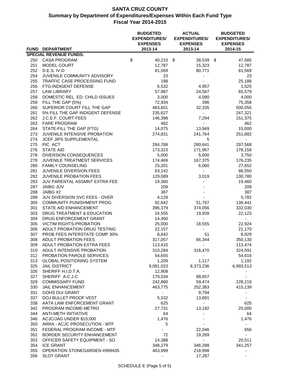|            |                                                    | <b>BUDGETED</b><br><b>EXPENDITURES/</b><br><b>EXPENSES</b> |                     |                          |  |
|------------|----------------------------------------------------|------------------------------------------------------------|---------------------|--------------------------|--|
|            | FUND DEPARTMENT                                    | 2013-14                                                    | 2013-14             | 2014-15                  |  |
|            | <b>SPECIAL REVENUE FUNDS:</b>                      | \$                                                         |                     |                          |  |
| 250<br>251 | CASA PROGRAM<br><b>MODEL COURT</b>                 | 40,210 \$<br>12,787                                        | 38,539 \$<br>15,323 | 47,585<br>12,787         |  |
| 252        | D.E.S. IV-D                                        | 81,569                                                     | 80,771              | 81,569                   |  |
| 254        | JUVENILE COMMUNITY ADVISORY                        | 23                                                         |                     | 23                       |  |
| 255        | TRAFFIC CASE PROCESSING FUND                       | 188                                                        |                     | 25,188                   |  |
| 256        | FTG-INDIGENT DEFENSE                               | 6,532                                                      | 4,957               | 1,525                    |  |
| 257        | LAW LIBRARY                                        | 57,987                                                     | 24,567              | 65,579                   |  |
| 258        | DOMESTIC REL. ED. CHILD ISSUES                     | 3,000                                                      | 4,080               | 4,000                    |  |
| 259        | FILL THE GAP (5%)                                  | 72,934                                                     | 396                 | 75,358                   |  |
| 260        | SUPERIOR COURT FILL THE GAP                        | 483,601                                                    | 32,335              | 500,056                  |  |
| 261        | 5% FILL THE GAP INDIGENT DEFENSE                   | 235,627                                                    | $\sim$              | 247,321                  |  |
| 262        | J.C.E.F. COURT FEES                                | 146,398                                                    | 7,294               | 151,375                  |  |
| 263        | <b>FARE PROGRAM</b>                                | 462                                                        |                     | 462                      |  |
| 264        | STATE-FILL THE GAP (FTG)                           | 14,075                                                     | 13,949              | 15,000                   |  |
| 273        | JUVENILE INTENSIVE PROBATION                       | 274,831                                                    | 241,764             | 251,882                  |  |
| 274        | <b>JCEF JIPS SUPPLEMENTAL</b>                      |                                                            | 5                   |                          |  |
| 275        | PIC ACT                                            | 284,788                                                    | 280,641             | 297,568                  |  |
| 276        | <b>STATE AID</b>                                   | 173,323                                                    | 171,957             | 178,158                  |  |
| 278        | DIVERSION CONSEQUENCES                             | 5,000                                                      | 5,000               | 3,750                    |  |
| 279        | JUVENILE TREATMENT SERVICES                        | 174,469                                                    | 167,375             | 176,235                  |  |
| 280        | <b>FAMILY COUNSELING</b>                           | 25,201                                                     | 6,060               | 27,652                   |  |
| 281        | JUVENILE DIVERSION FEES                            | 83,142                                                     |                     | 86,550                   |  |
| 282        | JUVENILE PROBATION FEES                            | 129,089                                                    | 3,019               | 130,780                  |  |
| 283        | JUV PARENTAL ASSMNT EXTRA FEE                      | 19,360                                                     |                     | 19,460                   |  |
| 287<br>288 | JAIBG JUV<br>JAIBG #2                              | 209<br>387                                                 |                     | 209<br>387               |  |
| 289        | JUV DIVERSION SVC FEES - OVER                      | 4,129                                                      |                     | 5,782                    |  |
| 300        | COMMUNITY PUNISHMENT PROG.                         | 92,642                                                     | 51,767              | 136,441                  |  |
| 301        | STATE AID ENHANCEMENT                              | 396,379                                                    | 374,056             | 332,030                  |  |
| 303        | DRUG TREATMENT & EDUCATION                         | 24,555                                                     | 19,928              | 22,123                   |  |
| 304        | DRUG ENFORCEMENT GRANT                             | 14,450                                                     |                     |                          |  |
| 305        | <b>VICTIM RIGHTS-PROBATION</b>                     | 25,000                                                     | 18,555              | 22,924                   |  |
| 306        | ADULT PROBATION DRUG TESTING                       | 22,157                                                     |                     | 21,170                   |  |
| 307        | PROB FEES INTERSTATE COMP 30%                      | 8,642                                                      | 51                  | 8,929                    |  |
| 308        | <b>ADULT PROBATION FEES</b>                        | 317,057                                                    | 66,344              | 350,130                  |  |
| 309        | ADULT PROBATION EXTRA FEES                         | 113,410                                                    |                     | 113,474                  |  |
| 310        | ADULT INTENSIVE PROBATION                          | 310,284                                                    | 316,470             | 324,591                  |  |
| 312        | <b>PROBATION PAROLE SERVICES</b>                   | 54,655                                                     | ۰.                  | 54,616                   |  |
| 313        | <b>GLOBAL POSITIONING SYSTEM</b>                   | 1,209                                                      | 1,117               | 1,192                    |  |
| 325        | <b>JAIL DISTRICT</b>                               | 9,081,023                                                  | 8,373,236           | 6,993,513                |  |
| 326        | SHERIFF H.I.D.T.A.                                 | 12,908                                                     | -                   |                          |  |
| 327        | SHERIFF A.C.J.C.                                   | 170,534                                                    | 98,657              |                          |  |
| 329        | <b>COMMISSARY FUND</b>                             | 242,860                                                    | 59,474              | 228,219                  |  |
| 330        | <b>JAIL ENHANCEMENT</b>                            | 463,775                                                    | 252,383             | 415,139                  |  |
| 331        | <b>GOHS DUI GRANT</b>                              | $\blacksquare$                                             | 9,794               |                          |  |
| 337        | DOJ BULLET PROOF VEST                              | 5,532                                                      | 13,891              |                          |  |
| 338<br>342 | AATA LAW ENFORCEMENT GRANT<br>PROGRAM INCOME-METRO | 625<br>27,731                                              | 13,192              | 625<br>25,000            |  |
| 344        | <b>ANTI-METH INITIATIVE</b>                        | 64                                                         |                     | 64                       |  |
| 346        | ACJC/JAG UNDER \$10,000                            | 1,476                                                      |                     | 1,476                    |  |
| 350        | ARRA - ACJC PROSECUTION - MTF                      | 5                                                          |                     |                          |  |
| 351        | FEDERAL PROGRAM INCOME - MTF                       |                                                            | 22,046              | 656                      |  |
| 352        | BORDER SECURITY ENHANCEMENT                        | 72                                                         | 19,269              |                          |  |
| 353        | OFFICER SAFETY EQUIPMENT - SO                      | 14,388                                                     | $\blacksquare$      | 20,511                   |  |
| 354        | <b>ICE GRANT</b>                                   | 348,279                                                    | 346,288             | 341,257                  |  |
| 355        | OPERATION STONEGARDEN #999435                      | 463,999                                                    | 218,998             | $\overline{\phantom{a}}$ |  |
| 356        | <b>SLOT GRANT</b>                                  |                                                            | 17,287              |                          |  |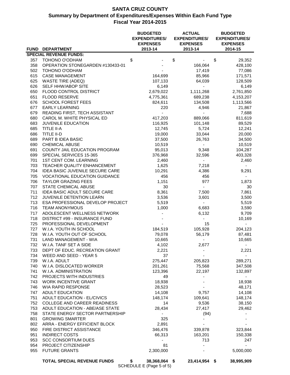|            |                                                                         | <b>BUDGETED</b><br><b>EXPENDITURES/</b><br><b>EXPENSES</b> | <b>ACTUAL</b><br><b>EXPENDITURES/</b><br><b>EXPENSES</b> | <b>BUDGETED</b><br><b>EXPENDITURES/</b><br><b>EXPENSES</b> |
|------------|-------------------------------------------------------------------------|------------------------------------------------------------|----------------------------------------------------------|------------------------------------------------------------|
|            | FUND DEPARTMENT                                                         | 2013-14                                                    | 2013-14                                                  | 2014-15                                                    |
| 357        | <b>SPECIAL REVENUE FUNDS:</b><br>TOHONO O'ODHAM                         | \$                                                         | \$                                                       | \$<br>29,352                                               |
| 358        | OPERATION STONEGARDEN #130433-01                                        |                                                            | 166,064                                                  | 428,100                                                    |
| 502        | TOHONO O'ODHAM                                                          |                                                            | 17,419                                                   | 77,086                                                     |
| 615        | <b>CASE MANAGEMENT</b>                                                  | 164,699                                                    | 85,966                                                   | 171,571                                                    |
| 625        | <b>WASTE TIRE (ADEQ)</b>                                                | 107,133                                                    | 64,039                                                   | 128,509                                                    |
| 626        | SELF HHW/ABOP SITE                                                      | 6,149                                                      |                                                          | 6,149                                                      |
| 650        | FLOOD CONTROL DISTRICT                                                  | 2,679,022                                                  | 1,111,268                                                | 2,761,850                                                  |
| 651        | FLOOD RESERVE                                                           | 4,775,361                                                  | 689,238                                                  | 4,153,207                                                  |
| 676        | <b>SCHOOL FOREST FEES</b>                                               | 824,611                                                    | 134,508                                                  | 1,113,566                                                  |
| 677        | <b>EARLY LEARNING</b>                                                   | 220                                                        | 4,946                                                    | 21,867                                                     |
| 679        | READING FIRST, TECH ASSISTANT                                           | $\blacksquare$                                             |                                                          | 7,688                                                      |
| 680        | CAROL M. WHITE PHYSICAL ED                                              | 417,203                                                    | 889,066                                                  | 811,619                                                    |
| 683        | JUVENILE EDUCATION                                                      | 116,925                                                    | 101,148                                                  | 89,529                                                     |
| 685        | <b>TITLE II-A</b>                                                       | 12,745                                                     | 5,724                                                    | 12,241                                                     |
| 686        | TITLE II-D                                                              | 19,000                                                     | 33,044                                                   | 20,000                                                     |
| 689        | PART B IDEA BASIC                                                       | 37,500                                                     | 26,763                                                   | 34,500                                                     |
| 690        | <b>CHEMICAL ABUSE</b>                                                   | 10,519                                                     | $\sim$                                                   | 10,519                                                     |
| 691        | COUNTY JAIL EDUCATION PROGRAM                                           | 95,013                                                     | 9,348                                                    | 104,287                                                    |
| 699        | SPECIAL SERVICES 15-365                                                 | 376,968                                                    | 32,596                                                   | 403,328                                                    |
| 701        | <b>1ST CENT COM. LEARNING</b>                                           | 2,460                                                      | $\blacksquare$                                           | 2,460                                                      |
| 703        | TEACHER QUALITY ENHANCEMENT                                             | 1,625                                                      | 7,218                                                    | $\overline{\phantom{a}}$                                   |
| 704<br>705 | IDEA BASIC JUVENILE SECURE CARE<br><b>VOCATIONAL EDUCATION GUIDANCE</b> | 10,291<br>456                                              | 4,386<br>456                                             | 9,291<br>$\sim$                                            |
| 706        | <b>TAYLOR GRAZING FEES</b>                                              | 1,151                                                      | 977                                                      | 1,873                                                      |
| 707        | STATE CHEMICAL ABUSE                                                    | 30                                                         | $\sim$                                                   | 30                                                         |
| 711        | IDEA BASIC ADULT SECURE CARE                                            | 8,361                                                      | 7,500                                                    | 7,861                                                      |
| 712        | JUVENILE DETENTION LEARN                                                | 3,536                                                      | 3,601                                                    | 3,500                                                      |
| 713        | ESA PROFESSIONAL DEVELOP PROJECT                                        | 5,519                                                      | $\overline{\phantom{a}}$                                 | 5,519                                                      |
| 716        | <b>TEAM ANONYMOUS</b>                                                   | 1,000                                                      | 6,683                                                    | 3,590                                                      |
| 717        | ADOLESCENT WELLNESS NETWORK                                             |                                                            | 6,132                                                    | 9,709                                                      |
| 718        | DISTRICT #99 - INSURANCE FUND                                           |                                                            |                                                          | 10,169                                                     |
| 725        | PROFESSIONAL DEVELOPMENT                                                |                                                            | 15                                                       |                                                            |
| 727        | W.I.A. YOUTH IN SCHOOL                                                  | 184,519                                                    | 105,928                                                  | 204,123                                                    |
| 728        | W.I.A. YOUTH OUT OF SCHOOL                                              | 79,078                                                     | 56,179                                                   | 87,481                                                     |
| 731 -      | LAND MANAGEMENT - WIA                                                   | 10,665                                                     |                                                          | 10,665                                                     |
|            | 732 W.I.A. TANF SET A SIDE                                              | 4,102                                                      | 2,677                                                    |                                                            |
|            | 733 DEPT OF EDUC. RECREATION GRANT                                      | 2,221                                                      |                                                          | 2,221                                                      |
|            | 734 WEED AND SEED - YEAR 5                                              | 37                                                         |                                                          | $\sim$                                                     |
| 739        | W.I.A. ADULT                                                            | 275,447                                                    | 205,823                                                  | 289,271                                                    |
| 740        | W.I.A. DISLOCATED WORKER                                                | 201,261                                                    | 75,568                                                   | 347,508                                                    |
| 741        | W.I.A. ADMINISTRATION                                                   | 123,396                                                    | 22,197                                                   | 132,897                                                    |
| 742        | PROJECTS WITH INDUSTRIES                                                | 49                                                         | $\overline{\phantom{a}}$                                 | $\sim$                                                     |
| 743<br>746 | <b>WORK INCENTIVE GRANT</b><br>WIA RAPID RESPONSE                       | 18,938                                                     |                                                          | 18,938                                                     |
| 747        | <b>ADULT EDUCATION</b>                                                  | 28,523<br>14,108                                           | 9,757                                                    | 48,171<br>14,108                                           |
| 751        | ADULT EDUCATION - EL/CIVICS                                             | 148,174                                                    | 109,641                                                  | 148,174                                                    |
| 752        | COLLEGE AND CAREER READINESS                                            | 14                                                         | 9,536                                                    | 38,150                                                     |
| 753        | ADULT EDUCATION - ABE/ASE STATE                                         | 28,434                                                     | 27,417                                                   | 29,462                                                     |
| 758        | STATE ENERGY SECTOR PARTNERSHIP                                         | $\sim$                                                     | (94)                                                     |                                                            |
| 801        | <b>GROWING SMARTER</b>                                                  | 325                                                        |                                                          |                                                            |
| 802        | ARRA - ENERGY EFFICIENT BLOCK                                           | 2,891                                                      |                                                          |                                                            |
| 950        | FIRE DISTRICT ASSISTANCE                                                | 346,476                                                    | 339,878                                                  | 323,844                                                    |
| 951        | <b>INDIRECT COSTS</b>                                                   | 66,313                                                     | 163,201                                                  | 150,338                                                    |
| 953        | <b>SCC CONSORTIUM DUES</b>                                              |                                                            | 713                                                      | 247                                                        |
| 954        | PROJECT CITIZENSHIP                                                     | 81                                                         |                                                          |                                                            |
| 955        | <b>FUTURE GRANTS</b>                                                    | 2,300,000                                                  |                                                          | 5,000,000                                                  |
|            | <b>TOTAL SPECIAL REVENUE FUNDS</b>                                      | \$<br>38,368,064 \$                                        | 23,414,954 \$                                            | 38,995,909                                                 |

SCHEDULE E (Page 5 of 5)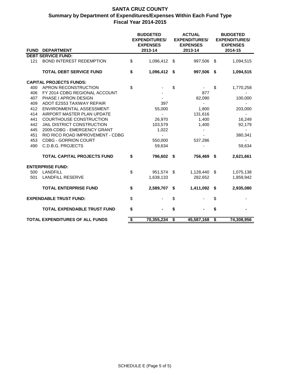|                                        |                                    | <b>BUDGETED</b><br><b>EXPENDITURES/</b><br><b>EXPENSES</b> |                |    |              | <b>BUDGETED</b><br><b>EXPENDITURES/</b><br><b>EXPENSES</b> |            |  |  |
|----------------------------------------|------------------------------------|------------------------------------------------------------|----------------|----|--------------|------------------------------------------------------------|------------|--|--|
| <b>FUND</b>                            | <b>DEPARTMENT</b>                  |                                                            | 2013-14        |    | 2013-14      |                                                            | 2014-15    |  |  |
|                                        | <b>DEBT SERVICE FUND:</b>          |                                                            |                |    |              |                                                            |            |  |  |
| 121                                    | <b>BOND INTEREST REDEMPTION</b>    | \$                                                         | 1,096,412 \$   |    | 997,506      | - \$                                                       | 1,094,515  |  |  |
|                                        | <b>TOTAL DEBT SERVICE FUND</b>     | \$                                                         | 1,096,412 \$   |    | 997,506      | - \$                                                       | 1,094,515  |  |  |
|                                        | <b>CAPITAL PROJECTS FUNDS:</b>     |                                                            |                |    |              |                                                            |            |  |  |
| 400                                    | APRON RECONSTRUCTION               | \$                                                         |                | \$ |              | \$                                                         | 1,770,258  |  |  |
| 406                                    | FY 2014 CDBG REGIONAL ACCOUNT      |                                                            |                |    | 877          |                                                            |            |  |  |
| 407                                    | PHASE I APRON DESIGN               |                                                            |                |    | 82,090       |                                                            | 100,000    |  |  |
| 409                                    | ADOT E2S53 TAXIWAY REPAIR          |                                                            | 397            |    |              |                                                            |            |  |  |
| 412                                    | ENVIRONMENTAL ASSESSMENT           |                                                            | 55,000         |    | 1,800        |                                                            | 203,000    |  |  |
| 414                                    | AIRPORT MASTER PLAN UPDATE         |                                                            | $\blacksquare$ |    | 131,616      |                                                            |            |  |  |
| 441                                    | <b>COURTHOUSE CONSTRUCTION</b>     |                                                            | 26,970         |    | 1,400        |                                                            | 16,249     |  |  |
| 442                                    | JAIL DISTRICT CONSTRUCTION         |                                                            | 103,579        |    | 1,400        |                                                            | 92,179     |  |  |
| 445                                    | 2009-CDBG - EMERGENCY GRANT        |                                                            | 1,022          |    |              |                                                            |            |  |  |
| 451                                    | RIO RICO ROAD IMPROVEMENT - CDBG   |                                                            |                |    |              |                                                            | 380,341    |  |  |
| 453                                    | <b>CDBG - GORRION COURT</b>        |                                                            | 550,000        |    | 537,286      |                                                            |            |  |  |
| 490                                    | C.D.B.G. PROJECTS                  |                                                            | 59,634         |    |              |                                                            | 59,634     |  |  |
|                                        | <b>TOTAL CAPITAL PROJECTS FUND</b> | \$                                                         | 796,602 \$     |    | 756,469      | \$                                                         | 2,621,661  |  |  |
|                                        | <b>ENTERPRISE FUND:</b>            |                                                            |                |    |              |                                                            |            |  |  |
| 500                                    | <b>LANDFILL</b>                    | \$                                                         | 951,574 \$     |    | 1,128,440 \$ |                                                            | 1,075,138  |  |  |
| 501                                    | <b>LANDFILL RESERVE</b>            |                                                            | 1,638,133      |    | 282,652      |                                                            | 1,859,942  |  |  |
|                                        | <b>TOTAL ENTERPRISE FUND</b>       | \$                                                         | 2,589,707      | \$ | 1,411,092    | - \$                                                       | 2,935,080  |  |  |
|                                        | <b>EXPENDABLE TRUST FUND:</b>      |                                                            |                | \$ |              | \$                                                         |            |  |  |
|                                        | <b>TOTAL EXPENDABLE TRUST FUND</b> |                                                            | \$             |    |              | \$                                                         |            |  |  |
| <b>TOTAL EXPENDITURES OF ALL FUNDS</b> |                                    | \$                                                         | 70,355,234     | \$ | 45,587,168   | $\overline{\boldsymbol{\mathsf{s}}}$                       | 74,308,956 |  |  |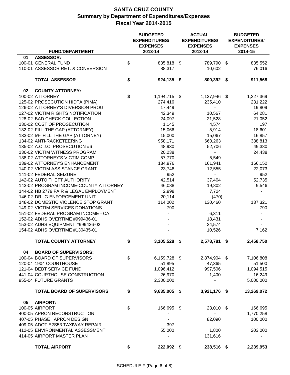| <b>FUND/DEPARTMENT</b>                                                 | <b>BUDGETED</b><br><b>EXPENDITURES/</b><br><b>EXPENSES</b><br>2013-14 | <b>ACTUAL</b><br><b>EXPENDITURES/</b><br><b>EXPENSES</b><br>2013-14 | <b>BUDGETED</b><br><b>EXPENDITURES/</b><br><b>EXPENSES</b><br>2014-15 |                          |  |  |
|------------------------------------------------------------------------|-----------------------------------------------------------------------|---------------------------------------------------------------------|-----------------------------------------------------------------------|--------------------------|--|--|
| <b>ASSESSOR:</b><br>01                                                 |                                                                       |                                                                     |                                                                       |                          |  |  |
| 100-01 GENERAL FUND                                                    | \$<br>835,818 \$                                                      | 789,790                                                             | -\$                                                                   | 835,552                  |  |  |
| 110-01 ASSESSOR RET. & CONVERSION                                      | 88,317                                                                | 10,602                                                              |                                                                       | 76,016                   |  |  |
|                                                                        |                                                                       |                                                                     |                                                                       |                          |  |  |
| <b>TOTAL ASSESSOR</b>                                                  | \$<br>924,135 \$                                                      | 800,392 \$                                                          |                                                                       | 911,568                  |  |  |
| 02<br><b>COUNTY ATTORNEY:</b>                                          |                                                                       |                                                                     |                                                                       |                          |  |  |
| 100-02 ATTORNEY                                                        | \$<br>1,194,715 \$                                                    | 1,137,946 \$                                                        |                                                                       | 1,227,369                |  |  |
| 125-02 PROSECUTION HIDTA (PIMA)                                        | 274,416                                                               | 235,410                                                             |                                                                       | 231,222                  |  |  |
| 126-02 ATTORNEY'S DIVERSION PROG.                                      | 17,449                                                                | $\sim$                                                              |                                                                       | 19,809                   |  |  |
| 127-02 VICTIM RIGHTS NOTIFICATION                                      | 42,349                                                                | 10,567                                                              |                                                                       | 64,281                   |  |  |
| 128-02 BAD CHECK COLLECTION                                            | 24,097                                                                | 21,528                                                              |                                                                       | 21,052                   |  |  |
| 130-02 COST OF PROSECUTION                                             | 1,145                                                                 | 4,574                                                               |                                                                       | 197                      |  |  |
| 132-02 FILL THE GAP (ATTORNEY)                                         | 15,066                                                                | 5,914                                                               |                                                                       | 18,601                   |  |  |
| 133-02 5% FILL THE GAP (ATTORNEY)                                      | 15,000                                                                | 15,067                                                              |                                                                       | 16,857                   |  |  |
| 134-02 ANTI-RACKETEERING                                               | 958,171                                                               | 660,263                                                             |                                                                       | 388,813                  |  |  |
| 135-02 A.C.J.C. PROSECUTION #6                                         | 48,930                                                                | 52,706                                                              |                                                                       | 49,380                   |  |  |
| 136-02 VICTIM WITNESS PROGRAM                                          | 20,238                                                                | $\overline{\phantom{0}}$                                            |                                                                       | 24,438                   |  |  |
| 138-02 ATTORNEY'S VICTIM COMP.                                         | 57,770                                                                | 5,549                                                               |                                                                       |                          |  |  |
| 139-02 ATTORNEY'S ENHANCEMENT                                          | 184,976                                                               | 161,941                                                             |                                                                       | 166,152                  |  |  |
| 140-02 VICTIM ASSISTANCE GRANT                                         | 23,748                                                                | 12,555                                                              |                                                                       | 22,073                   |  |  |
| 141-02 FEDERAL SEIZURE                                                 | 952                                                                   | $\overline{\phantom{0}}$                                            |                                                                       | 952                      |  |  |
| 142-02 AUTO THEFT AUTHORITY                                            | 42,514                                                                | 37,404                                                              |                                                                       | 52,735                   |  |  |
| 143-02 PROGRAM INCOME-COUNTY ATTORNEY                                  |                                                                       |                                                                     |                                                                       |                          |  |  |
| 144-02 HB 2779 FAIR & LEGAL EMPLOYMENT                                 | 46,088                                                                | 19,802                                                              |                                                                       | 9,546                    |  |  |
|                                                                        | 2,998                                                                 | 7,724                                                               |                                                                       |                          |  |  |
| 146-02 DRUG ENFORCEMENT UNIT                                           | 20,114                                                                | (470)                                                               |                                                                       |                          |  |  |
| 148-02 DOMESTIC VIOLENCE STOP GRANT                                    | 114,002                                                               | 130,460                                                             |                                                                       | 137,321                  |  |  |
| 149-02 VICTIM SERVICES DONATIONS<br>151-02 FEDERAL PROGRAM INCOME - CA | 790                                                                   | $\blacksquare$                                                      |                                                                       | 790                      |  |  |
|                                                                        |                                                                       | 6,311                                                               |                                                                       | $\overline{\phantom{a}}$ |  |  |
| 152-02 ADHS OVERTIME #999436-01                                        |                                                                       | 18,431                                                              |                                                                       |                          |  |  |
| 153-02 ADHS EQUIPMENT #999436-02                                       |                                                                       | 24,574                                                              |                                                                       |                          |  |  |
| 154-02 ADHS OVERTIME #130435-01                                        |                                                                       | 10,526                                                              |                                                                       | 7,162                    |  |  |
| <b>TOTAL COUNTY ATTORNEY</b>                                           | \$<br>3,105,528 \$                                                    | 2,578,781                                                           | \$                                                                    | 2,458,750                |  |  |
| 04<br><b>BOARD OF SUPERVISORS:</b>                                     |                                                                       |                                                                     |                                                                       |                          |  |  |
| 100-04 BOARD OF SUPERVISORS                                            | \$<br>6,159,728 \$                                                    | 2,874,904 \$                                                        |                                                                       | 7,106,808                |  |  |
| 120-04 1904 COURTHOUSE                                                 | 51,895                                                                | 47,365                                                              |                                                                       | 51,500                   |  |  |
| 121-04 DEBT SERVICE FUND                                               | 1,096,412                                                             | 997,506                                                             |                                                                       | 1,094,515                |  |  |
| 441-04 COURTHOUSE CONSTRUCTION                                         | 26,970                                                                | 1,400                                                               |                                                                       | 16,249                   |  |  |
| 955-04 FUTURE GRANTS                                                   | 2,300,000                                                             | $\blacksquare$                                                      |                                                                       | 5,000,000                |  |  |
| <b>TOTAL BOARD OF SUPERVISORS</b>                                      | \$<br>9,635,005 \$                                                    | 3,921,176 \$                                                        |                                                                       | 13,269,072               |  |  |
| 05<br><b>AIRPORT:</b>                                                  |                                                                       |                                                                     |                                                                       |                          |  |  |
| 100-05 AIRPORT                                                         | \$<br>166,695 \$                                                      | 23,010 \$                                                           |                                                                       | 166,695                  |  |  |
| 400-05 APRON RECONSTRUCTION                                            |                                                                       |                                                                     |                                                                       | 1,770,258                |  |  |
| 407-05 PHASE I APRON DESIGN                                            |                                                                       | 82,090                                                              |                                                                       | 100,000                  |  |  |
| 409-05 ADOT E2S53 TAXIWAY REPAIR                                       | 397                                                                   | $\blacksquare$                                                      |                                                                       |                          |  |  |
| 412-05 ENVIRONMENTAL ASSESSMENT                                        | 55,000                                                                | 1,800                                                               |                                                                       | 203,000                  |  |  |
| 414-05 AIRPORT MASTER PLAN                                             | $\overline{\phantom{a}}$                                              | 131,616                                                             |                                                                       |                          |  |  |
| <b>TOTAL AIRPORT</b>                                                   |                                                                       |                                                                     |                                                                       |                          |  |  |
|                                                                        | \$<br>222,092 \$                                                      | 238,516 \$                                                          |                                                                       | 2,239,953                |  |  |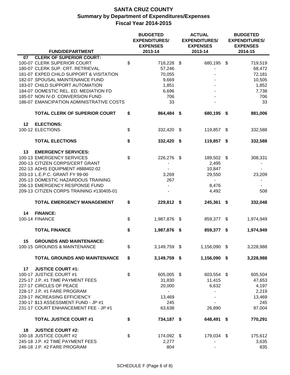|    |                                                                | <b>BUDGETED</b><br><b>EXPENDITURES/</b><br><b>EXPENSES</b> | <b>ACTUAL</b><br><b>EXPENDITURES/</b><br><b>EXPENSES</b> | <b>BUDGETED</b><br><b>EXPENDITURES/</b><br><b>EXPENSES</b><br>2014-15 |                          |  |  |
|----|----------------------------------------------------------------|------------------------------------------------------------|----------------------------------------------------------|-----------------------------------------------------------------------|--------------------------|--|--|
|    | <b>FUND/DEPARTMENT</b>                                         | 2013-14                                                    | 2013-14                                                  |                                                                       |                          |  |  |
| 07 | <b>CLERK OF SUPERIOR COURT:</b><br>100-07 CLERK SUPERIOR COURT | \$<br>718,228 \$                                           | 680,195                                                  | \$                                                                    | 719,519                  |  |  |
|    | 180-07 CLERK SUP. CRT. RETRIEVAL                               | 57,246                                                     |                                                          |                                                                       | 68,472                   |  |  |
|    | 181-07 EXPED CHILD SUPPORT & VISITATION                        | 70,055                                                     |                                                          |                                                                       | 72,181                   |  |  |
|    | 182-07 SPOUSAL MAINTENANCE FUND                                | 9,669                                                      |                                                          |                                                                       | 10,505                   |  |  |
|    | 183-07 CHILD SUPPORT AUTOMATION                                | 1,851                                                      |                                                          |                                                                       | 1,852                    |  |  |
|    | 184-07 DOMESTIC REL. ED. MEDIATION FD                          | 6,696                                                      |                                                          |                                                                       | 7,738                    |  |  |
|    | 185-07 NON IV-D CONVERSION FUND                                | 706                                                        |                                                          |                                                                       | 706                      |  |  |
|    | 186-07 EMANCIPATION ADMINISTRATIVE COSTS                       | 33                                                         |                                                          |                                                                       | 33                       |  |  |
|    | <b>TOTAL CLERK OF SUPERIOR COURT</b>                           | \$<br>864,484 \$                                           | 680,195 \$                                               |                                                                       | 881,006                  |  |  |
| 12 | <b>ELECTIONS:</b>                                              |                                                            |                                                          |                                                                       |                          |  |  |
|    | 100-12 ELECTIONS                                               | \$<br>332,420 \$                                           | 119,857                                                  | \$                                                                    | 332,588                  |  |  |
|    | <b>TOTAL ELECTIONS</b>                                         | \$<br>332,420 \$                                           | 119,857 \$                                               |                                                                       | 332,588                  |  |  |
| 13 | <b>EMERGENCY SERVICES:</b>                                     |                                                            |                                                          |                                                                       |                          |  |  |
|    | 100-13 EMERGENCY SERVICES                                      | \$<br>226,276 \$                                           | 189,502 \$                                               |                                                                       | 308,331                  |  |  |
|    | 200-13 CITIZEN CORPS/CERT GRANT                                |                                                            | 2,495                                                    |                                                                       |                          |  |  |
|    | 202-13 ADHS EQUIPMENT #888402-02                               |                                                            | 10,847                                                   |                                                                       |                          |  |  |
|    | 203-13 L.E.P.C. GRANT FY 99-00                                 | 3,269                                                      | 29,550                                                   |                                                                       | 23,209                   |  |  |
|    | 205-13 DOMESTIC HAZARDOUS TRAINING                             | 267                                                        | $\blacksquare$                                           |                                                                       | $\overline{\phantom{a}}$ |  |  |
|    | 206-13 EMERGENCY RESPONSE FUND                                 |                                                            | 8,476                                                    |                                                                       |                          |  |  |
|    | 209-13 CITIZEN CORPS TRAINING #130405-01                       |                                                            | 4,492                                                    |                                                                       | 508                      |  |  |
|    | <b>TOTAL EMERGENCY MANAGEMENT</b>                              | \$<br>229,812 \$                                           | 245,361 \$                                               |                                                                       | 332,048                  |  |  |
| 14 | <b>FINANCE:</b>                                                |                                                            |                                                          |                                                                       |                          |  |  |
|    | 100-14 FINANCE                                                 | \$<br>1,987,876 \$                                         | 859,377 \$                                               |                                                                       | 1,974,949                |  |  |
|    |                                                                |                                                            |                                                          |                                                                       |                          |  |  |
|    | <b>TOTAL FINANCE</b>                                           | \$<br>1,987,876 \$                                         | 859,377 \$                                               |                                                                       | 1,974,949                |  |  |
| 15 | <b>GROUNDS AND MAINTENANCE:</b>                                |                                                            |                                                          |                                                                       |                          |  |  |
|    | 100-15 GROUNDS & MAINTENANCE                                   | \$<br>3,149,759 \$                                         | 1,156,090 \$                                             |                                                                       | 3,228,988                |  |  |
|    | <b>TOTAL GROUNDS AND MAINTENANCE</b>                           | \$<br>3,149,759 \$                                         | 1,156,090 \$                                             |                                                                       | 3,228,988                |  |  |
| 17 | <b>JUSTICE COURT #1:</b>                                       |                                                            |                                                          |                                                                       |                          |  |  |
|    | 100-17 JUSTICE COURT #1                                        | \$<br>605,005 \$                                           | 603,554 \$                                               |                                                                       | 605,504                  |  |  |
|    | 225-17 J.P. #1 TIME PAYMENT FEES                               | 31,830                                                     | 11,415                                                   |                                                                       | 47,653                   |  |  |
|    | 227-17 CIRCLES OF PEACE                                        | 20,000                                                     | 6,632                                                    |                                                                       | 4,197                    |  |  |
|    | 228-17 J.P. #1 FARE PROGRAM                                    | $\sim$                                                     |                                                          |                                                                       | 2,219                    |  |  |
|    | 229-17 INCREASING EFFICIENCY                                   | 13,469                                                     |                                                          |                                                                       | 13,469                   |  |  |
|    | 230-17 \$13 ASSESSMENT FUND - JP #1                            | 245                                                        |                                                          |                                                                       | 245                      |  |  |
|    | 231-17 COURT ENHANCEMENT FEE - JP #1                           | 63,638                                                     | 26,890                                                   |                                                                       | 97,004                   |  |  |
|    | <b>TOTAL JUSTICE COURT #1</b>                                  | \$<br>734,187 \$                                           | 648,491 \$                                               |                                                                       | 770,291                  |  |  |
| 18 | <b>JUSTICE COURT #2:</b>                                       |                                                            |                                                          |                                                                       |                          |  |  |
|    | 100-18 JUSTICE COURT #2                                        | \$<br>174,092 \$                                           | 179,034 \$                                               |                                                                       | 175,612                  |  |  |
|    | 245-18 J.P. #2 TIME PAYMENT FEES                               | 2,277                                                      |                                                          |                                                                       | 3,635                    |  |  |
|    | 246-18 J.P. #2 FARE PROGRAM                                    | 804                                                        |                                                          |                                                                       | 835                      |  |  |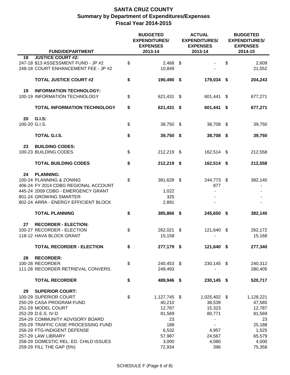| <b>FUND/DEPARTMENT</b>                                                      | <b>BUDGETED</b><br><b>EXPENDITURES/</b><br><b>EXPENSES</b><br>2013-14 |      | <b>ACTUAL</b><br><b>EXPENDITURES/</b><br><b>EXPENSES</b><br>2013-14 | <b>BUDGETED</b><br><b>EXPENDITURES/</b><br><b>EXPENSES</b><br>2014-15 |                 |  |  |
|-----------------------------------------------------------------------------|-----------------------------------------------------------------------|------|---------------------------------------------------------------------|-----------------------------------------------------------------------|-----------------|--|--|
| <b>JUSTICE COURT #2:</b><br>18                                              |                                                                       |      |                                                                     |                                                                       |                 |  |  |
| 247-18 \$13 ASSESSMENT FUND - JP #2<br>248-18 COURT ENHANCEMENT FEE - JP #2 | \$<br>2,468<br>10,849                                                 | - \$ |                                                                     | \$                                                                    | 2,609<br>21,552 |  |  |
| <b>TOTAL JUSTICE COURT #2</b>                                               | \$<br>190,490 \$                                                      |      | 179,034 \$                                                          |                                                                       | 204,243         |  |  |
|                                                                             |                                                                       |      |                                                                     |                                                                       |                 |  |  |
| 19<br><b>INFORMATION TECHNOLOGY:</b><br>100-19 INFORMATION TECHNOLOGY       | \$<br>621,431 \$                                                      |      | 601,441                                                             | - \$                                                                  | 677,271         |  |  |
| <b>TOTAL INFORMATION TECHNOLOGY</b>                                         | \$<br>621,431 \$                                                      |      | 601,441 \$                                                          |                                                                       | 677,271         |  |  |
| 20<br><b>G.I.S:</b>                                                         |                                                                       |      |                                                                     |                                                                       |                 |  |  |
| 100-20 G.I.S.                                                               | \$<br>39,750 \$                                                       |      | 38,708 \$                                                           |                                                                       | 39,750          |  |  |
| <b>TOTAL G.I.S.</b>                                                         | \$<br>39,750 \$                                                       |      | 38,708 \$                                                           |                                                                       | 39,750          |  |  |
| 23<br><b>BUILDING CODES:</b>                                                |                                                                       |      |                                                                     |                                                                       |                 |  |  |
| 100-23 BUILDING CODES                                                       | \$<br>212,219 \$                                                      |      | 162,514 \$                                                          |                                                                       | 212,558         |  |  |
| <b>TOTAL BUILDING CODES</b>                                                 | \$<br>212,219 \$                                                      |      | 162,514 \$                                                          |                                                                       | 212,558         |  |  |
| 24<br><b>PLANNING:</b>                                                      |                                                                       |      |                                                                     |                                                                       |                 |  |  |
| 100-24 PLANNING & ZONING                                                    | \$<br>381,628 \$                                                      |      | 244,773 \$                                                          |                                                                       | 382,140         |  |  |
| 406-24 FY 2014 CDBG REGIONAL ACCOUNT                                        |                                                                       |      | 877                                                                 |                                                                       |                 |  |  |
| 445-24 2009 CDBG - EMERGENCY GRANT                                          | 1,022                                                                 |      |                                                                     |                                                                       |                 |  |  |
| 801-24 GROWING SMARTER                                                      | 325                                                                   |      |                                                                     |                                                                       |                 |  |  |
| 802-24 ARRA - ENERGY EFFICIENT BLOCK                                        | 2,891                                                                 |      |                                                                     |                                                                       |                 |  |  |
|                                                                             |                                                                       |      |                                                                     |                                                                       |                 |  |  |
| <b>TOTAL PLANNING</b>                                                       | \$<br>385,866 \$                                                      |      | 245,650 \$                                                          |                                                                       | 382,140         |  |  |
| 27<br><b>RECORDER - ELECTION:</b>                                           |                                                                       |      |                                                                     |                                                                       |                 |  |  |
| 100-27 RECORDER - ELECTION                                                  | \$<br>262,021 \$                                                      |      | 121,640 \$                                                          |                                                                       | 262,172         |  |  |
| 118-12 HAVA BLOCK GRANT                                                     | 15,158                                                                |      |                                                                     |                                                                       | 15,168          |  |  |
| <b>TOTAL RECORDER - ELECTION</b>                                            | \$<br>277,179 \$                                                      |      | 121,640 \$                                                          |                                                                       | 277,340         |  |  |
|                                                                             |                                                                       |      |                                                                     |                                                                       |                 |  |  |
| 28<br><b>RECORDER:</b>                                                      |                                                                       |      |                                                                     |                                                                       |                 |  |  |
| 100-28 RECORDER                                                             | \$<br>240,453 \$                                                      |      | 230,145 \$                                                          |                                                                       | 240,312         |  |  |
| 111-28 RECORDER RETRIEVAL CONVERS.                                          | 249,493                                                               |      |                                                                     |                                                                       | 280,405         |  |  |
| <b>TOTAL RECORDER</b>                                                       | \$<br>489,946 \$                                                      |      | 230,145 \$                                                          |                                                                       | 520,717         |  |  |
| 29<br><b>SUPERIOR COURT:</b>                                                |                                                                       |      |                                                                     |                                                                       |                 |  |  |
| 100-29 SUPERIOR COURT                                                       | \$<br>1,127,745 \$                                                    |      | 1,025,402 \$                                                        |                                                                       | 1,128,221       |  |  |
| 250-29 CASA PROGRAM FUND                                                    | 40,210                                                                |      | 38,539                                                              |                                                                       | 47,585          |  |  |
| 251-29 MODEL COURT                                                          | 12,787                                                                |      | 15,323                                                              |                                                                       | 12,787          |  |  |
| 252-29 D.E.S. IV-D                                                          | 81,569                                                                |      | 80,771                                                              |                                                                       | 81,569          |  |  |
| 254-29 COMMUNITY ADVISORY BOARD                                             | 23                                                                    |      | $\qquad \qquad \blacksquare$                                        |                                                                       | 23              |  |  |
| 255-29 TRAFFIC CASE PROCESSING FUND                                         | 188                                                                   |      | $\overline{\phantom{0}}$                                            |                                                                       | 25,188          |  |  |
| 256-29 FTG-INDIGENT DEFENSE                                                 | 6,532                                                                 |      | 4,957                                                               |                                                                       | 1,525           |  |  |
| 257-29 LAW LIBRARY                                                          | 57,987                                                                |      | 24,567                                                              |                                                                       | 65,579          |  |  |
| 258-29 DOMESTIC REL. ED. CHILD ISSUES                                       | 3,000                                                                 |      | 4,080                                                               |                                                                       | 4,000           |  |  |
| 259-29 FILL THE GAP (5%)                                                    | 72,934                                                                |      | 396                                                                 |                                                                       | 75,358          |  |  |
|                                                                             |                                                                       |      |                                                                     |                                                                       |                 |  |  |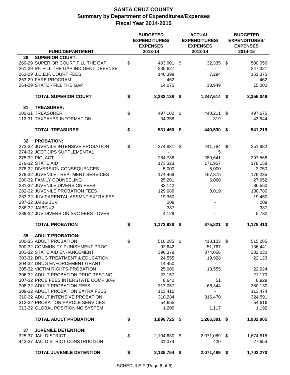|                                                         |                                                                                                         | <b>BUDGETED</b><br><b>EXPENDITURES/</b><br><b>EXPENSES</b> | <b>ACTUAL</b><br><b>EXPENDITURES/</b><br><b>EXPENSES</b> | <b>BUDGETED</b><br><b>EXPENDITURES/</b><br><b>EXPENSES</b> |                                     |  |  |
|---------------------------------------------------------|---------------------------------------------------------------------------------------------------------|------------------------------------------------------------|----------------------------------------------------------|------------------------------------------------------------|-------------------------------------|--|--|
|                                                         | <b>FUND/DEPARTMENT</b>                                                                                  | 2013-14                                                    | 2013-14                                                  |                                                            | 2014-15                             |  |  |
| 29<br>262-29 J.C.E.F. COURT FEES<br>263-29 FARE PROGRAM | <b>SUPERIOR COURT:</b><br>260-29 SUPERIOR COURT FILL THE GAP<br>261-29 5% FILL THE GAP INDIGENT DEFENSE | \$<br>483,601 \$<br>235,627<br>146,398                     | 32,335 \$<br>7,294                                       |                                                            | 500,056<br>247,321<br>151,375       |  |  |
|                                                         | 264-29 STATE - FILL THE GAP                                                                             | 462<br>14,075                                              | $\blacksquare$<br>13,949                                 |                                                            | 462<br>15,000                       |  |  |
|                                                         | <b>TOTAL SUPERIOR COURT</b>                                                                             | \$<br>2,283,138 \$                                         | 1,247,614 \$                                             |                                                            | 2,356,049                           |  |  |
| 31<br><b>TREASURER:</b>                                 |                                                                                                         |                                                            |                                                          |                                                            |                                     |  |  |
| 100-31 TREASURER                                        |                                                                                                         | \$<br>497,102 \$                                           | 440,211 \$                                               |                                                            | 497,675                             |  |  |
|                                                         | 112-31 TAXPAYER INFORMATION                                                                             | 34,358                                                     | 319                                                      |                                                            | 43,544                              |  |  |
|                                                         | <b>TOTAL TREASURER</b>                                                                                  | \$<br>531,460 \$                                           | 440,530 \$                                               |                                                            | 541,219                             |  |  |
| 32<br><b>PROBATION:</b>                                 |                                                                                                         |                                                            |                                                          |                                                            |                                     |  |  |
|                                                         | 273-32 JUVENILE INTENSIVE PROBATION<br>274-32 JCEF JIPS SUPPLEMENTAL                                    | \$<br>274,831 \$<br>$\overline{\phantom{0}}$               | 241,764 \$<br>5                                          |                                                            | 251,882<br>$\overline{\phantom{0}}$ |  |  |
| 275-32 PIC ACT                                          |                                                                                                         | 284,788                                                    | 280,641                                                  |                                                            | 297,568                             |  |  |
| 276-32 STATE AID                                        |                                                                                                         | 173,323                                                    | 171,957                                                  |                                                            | 178,158                             |  |  |
|                                                         | 278-32 DIVERSION CONSEQUENCES                                                                           | 5,000                                                      | 5,000                                                    |                                                            | 3,750                               |  |  |
|                                                         | 279-32 JUVENILE TREATMENT SERVICES                                                                      | 174,469                                                    | 167,375                                                  |                                                            | 176,235                             |  |  |
| 280-32 FAMILY COUNSELING                                |                                                                                                         | 25,201                                                     | 6,060                                                    |                                                            | 27,652                              |  |  |
|                                                         | 281-32 JUVENILE DIVERSION FEES                                                                          | 83,142                                                     | $\sim$                                                   |                                                            | 86,550                              |  |  |
|                                                         | 282-32 JUVENILE PROBATION FEES                                                                          | 129,089                                                    | 3,019                                                    |                                                            | 130,780                             |  |  |
|                                                         | 283-32 JUV PARENTAL ASSMNT EXTRA FEE                                                                    | 19,360                                                     | $\blacksquare$                                           |                                                            | 19,460                              |  |  |
| 287-32 JAIBG JUV                                        |                                                                                                         | 209                                                        |                                                          |                                                            | 209                                 |  |  |
| 288-32 JAIBG #2                                         | 289-32 JUV DIVERSION SVC FEES - OVER                                                                    | 387                                                        |                                                          |                                                            | 387<br>5,782                        |  |  |
|                                                         |                                                                                                         | 4,129                                                      |                                                          |                                                            |                                     |  |  |
|                                                         | <b>TOTAL PROBATION</b>                                                                                  | \$<br>1,173,928 \$                                         | 875,821 \$                                               |                                                            | 1,178,413                           |  |  |
| 35                                                      | <b>ADULT PROBATION:</b>                                                                                 |                                                            |                                                          |                                                            |                                     |  |  |
| 100-35 ADULT PROBATION                                  |                                                                                                         | \$<br>516,285 \$                                           | 418,103 \$                                               |                                                            | 515,285                             |  |  |
|                                                         | 300-32 COMMUNITY PUNISHMENT PROG.                                                                       | 92,642                                                     | 51,767                                                   |                                                            | 136,441                             |  |  |
|                                                         | 301-32 STATE AID ENHANCEMENT                                                                            | 396,379                                                    | 374,056                                                  |                                                            | 332,030                             |  |  |
|                                                         | 303-32 DRUG TREATMENT & EDUCATION                                                                       | 24,555                                                     | 19,928                                                   |                                                            | 22,123                              |  |  |
|                                                         | 304-32 DRUG ENFORCEMENT GRANT                                                                           | 14,450                                                     | $\blacksquare$                                           |                                                            | $\overline{\phantom{0}}$            |  |  |
|                                                         | 305-32 VICTIM RIGHTS-PROBATION                                                                          | 25,000                                                     | 18,555                                                   |                                                            | 22,924                              |  |  |
|                                                         | 306-32 ADULT PROBATION DRUG TESTING<br>307-32 PROB FEES INTERSTATE COMP 30%                             | 22,157                                                     | $\overline{\phantom{0}}$<br>51                           |                                                            | 21,170                              |  |  |
|                                                         | 308-32 ADULT PROBATION FEES                                                                             | 8,642<br>317,057                                           | 66,344                                                   |                                                            | 8,929<br>350,130                    |  |  |
|                                                         | 309-32 ADULT PROBATION EXTRA FEES                                                                       | 113,410                                                    | $\overline{\phantom{0}}$                                 |                                                            | 113,474                             |  |  |
|                                                         | 310-32 ADULT INTENSIVE PROBATION                                                                        | 310,284                                                    | 316,470                                                  |                                                            | 324,591                             |  |  |
|                                                         | 312-32 PROBATION PAROLE SERVICES                                                                        | 54,655                                                     | $\blacksquare$                                           |                                                            | 54,616                              |  |  |
|                                                         | 313-32 GLOBAL POSITIONING SYSTEM                                                                        | 1,209                                                      | 1,117                                                    |                                                            | 1,192                               |  |  |
|                                                         | <b>TOTAL ADULT PROBATION</b>                                                                            | \$<br>1,896,725 \$                                         | 1,266,391 \$                                             |                                                            | 1,902,905                           |  |  |
| 37                                                      | <b>JUVENILE DETENTION:</b>                                                                              |                                                            |                                                          |                                                            |                                     |  |  |
| 325-37 JAIL DISTRICT                                    |                                                                                                         | \$<br>2,104,680 \$                                         | 2,071,069 \$                                             |                                                            | 1,674,616                           |  |  |
|                                                         | 442-37 JAIL DISTRICT CONSTRUCTION                                                                       | 31,074                                                     | 420                                                      |                                                            | 27,654                              |  |  |
|                                                         | <b>TOTAL JUVENILE DETENTION</b>                                                                         | \$<br>2,135,754 \$                                         | 2,071,489 \$                                             |                                                            | 1,702,270                           |  |  |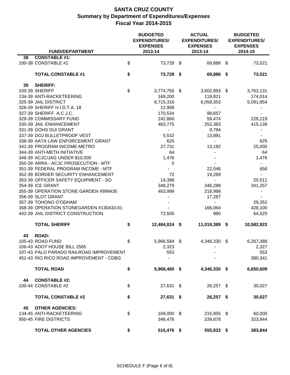|                                                   | <b>BUDGETED</b><br><b>EXPENDITURES/</b><br><b>EXPENSES</b> | <b>ACTUAL</b><br><b>EXPENDITURES/</b><br><b>EXPENSES</b> | <b>BUDGETED</b><br><b>EXPENDITURES/</b><br><b>EXPENSES</b> |                |  |  |
|---------------------------------------------------|------------------------------------------------------------|----------------------------------------------------------|------------------------------------------------------------|----------------|--|--|
| <b>FUND/DEPARTMENT</b>                            | 2013-14                                                    | 2013-14                                                  |                                                            | 2014-15        |  |  |
| <b>CONSTABLE #1:</b><br>38<br>100-38 CONSTABLE #1 | \$<br>73,728 \$                                            | 69,886 \$                                                |                                                            | 73,521         |  |  |
| <b>TOTAL CONSTABLE #1</b>                         | \$<br>73,728 \$                                            | 69,886 \$                                                |                                                            | 73,521         |  |  |
| <b>SHERIFF:</b><br>39                             |                                                            |                                                          |                                                            |                |  |  |
| 100-39 SHERIFF                                    | \$<br>3,774,755 \$                                         | 3,602,893 \$                                             |                                                            | 3,762,131      |  |  |
| 134-39 ANTI-RACKETEERING                          | 169,200                                                    | 119,821                                                  |                                                            | 174,014        |  |  |
| 325-39 JAIL DISTRICT                              | 6,715,316                                                  | 6,058,353                                                |                                                            | 5,091,854      |  |  |
| 326-39 SHERIFF H.I.D.T.A. 18                      | 12,908                                                     | $\overline{\phantom{0}}$                                 |                                                            |                |  |  |
| 327-39 SHERIFF A.C.J.C.                           | 170,534                                                    | 98,657                                                   |                                                            |                |  |  |
| 329-39 COMMISSARY FUND                            | 242,860                                                    | 59,474                                                   |                                                            | 228,219        |  |  |
| 330-39 JAIL ENHANCEMENT                           | 463,775                                                    | 252,383                                                  |                                                            | 415,139        |  |  |
| 331-39 GOHS DUI GRANT                             | $\blacksquare$                                             | 9,794                                                    |                                                            |                |  |  |
| 337-39 DOJ BULLETPROOF VEST                       | 5,532                                                      | 13,891                                                   |                                                            |                |  |  |
| 338-39 AATA LAW ENFORCEMENT GRANT                 | 625                                                        | $\sim$                                                   |                                                            | 625            |  |  |
| 342-39 PROGRAM INCOME-METRO                       | 27,731                                                     | 13,192                                                   |                                                            | 25,000         |  |  |
| 344-39 ANTI-METH INITIATIVE                       | 64                                                         |                                                          |                                                            | 64             |  |  |
| 346-39 ACJC/JAG UNDER \$10,000                    | 1,476                                                      |                                                          |                                                            | 1,476          |  |  |
| 350-39 ARRA - ACJC PROSECUTION - MTF              | 5                                                          |                                                          |                                                            |                |  |  |
| 351-39 FEDERAL PROGRAM INCOME - MTF               |                                                            | 22,046                                                   |                                                            | 656            |  |  |
| 352-39 BORDER SECURITY ENHANCEMENT                | 72                                                         | 19,269                                                   |                                                            | $\sim$         |  |  |
| 353-39 OFFICER SAFETY EQUIPMENT - SO              | 14,388                                                     | $\blacksquare$                                           |                                                            | 20,511         |  |  |
| 354-39 ICE GRANT                                  | 348,279                                                    | 346,288                                                  |                                                            | 341,257        |  |  |
| 355-39 OPERATION STONE GARDEN #999435             | 463,999                                                    | 218,998                                                  |                                                            | $\blacksquare$ |  |  |
| 356-39 SLOT GRANT                                 | $\overline{\phantom{a}}$                                   | 17,287                                                   |                                                            |                |  |  |
| 357-39 TOHONO O'ODHAM                             |                                                            | $\sim$                                                   |                                                            | 29,352         |  |  |
| 358-39 OPERATION STONEGARDEN #130433-01           |                                                            | 166,064                                                  |                                                            | 428,100        |  |  |
| 442-39 JAIL DISTRICT CONSTRUCTION                 | 72,505                                                     | 980                                                      |                                                            | 64,525         |  |  |
| <b>TOTAL SHERIFF</b>                              | \$<br>12,484,024 \$                                        | 11,019,389 \$                                            |                                                            | 10,582,923     |  |  |
| <b>ROAD:</b><br>43                                |                                                            |                                                          |                                                            |                |  |  |
| 105-43 ROAD FUND                                  | \$<br>5,966,584 \$                                         | 4,346,330                                                | - \$                                                       | 6,267,388      |  |  |
| 106-43 ADOT HOUSE BILL 2565                       | 2,323                                                      |                                                          |                                                            | 2,327          |  |  |
| 107-43 PALO PARADO RAILROAD IMPROVEMENT           | 553                                                        |                                                          |                                                            | 553            |  |  |
| 451-43 RIO RICO ROAD IMPROVEMENT - CDBG           |                                                            |                                                          |                                                            | 380,341        |  |  |
| <b>TOTAL ROAD</b>                                 | \$<br>5,969,460 \$                                         | 4,346,330 \$                                             |                                                            | 6,650,609      |  |  |
| <b>CONSTABLE #2:</b><br>44                        |                                                            |                                                          |                                                            |                |  |  |
| 100-44 CONSTABLE #2                               | \$<br>27,631 \$                                            | 26,257 \$                                                |                                                            | 30,027         |  |  |
|                                                   |                                                            |                                                          |                                                            |                |  |  |
| <b>TOTAL CONSTABLE #2</b>                         | \$<br>27,631 \$                                            | 26,257 \$                                                |                                                            | 30,027         |  |  |
| 45<br><b>OTHER AGENCIES:</b>                      |                                                            |                                                          |                                                            |                |  |  |
| 134-45 ANTI-RACKETEERING                          | \$<br>169,000 \$                                           | 215,955 \$                                               |                                                            | 60,000         |  |  |
| 950-45 FIRE DISTRICTS                             | 346,476                                                    | 339,878                                                  |                                                            | 323,844        |  |  |
| <b>TOTAL OTHER AGENCIES</b>                       | \$<br>515,476 \$                                           | 555,833 \$                                               |                                                            | 383,844        |  |  |
|                                                   |                                                            |                                                          |                                                            |                |  |  |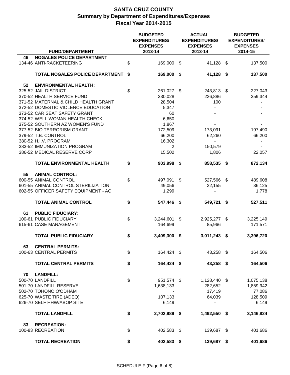| <b>FUND/DEPARTMENT</b>                 | <b>BUDGETED</b><br><b>EXPENDITURES/</b><br><b>EXPENSES</b><br>2013-14 |      | <b>ACTUAL</b><br><b>EXPENDITURES/</b><br><b>EXPENSES</b><br>2013-14 | <b>BUDGETED</b><br><b>EXPENDITURES/</b><br><b>EXPENSES</b><br>2014-15 |           |  |  |
|----------------------------------------|-----------------------------------------------------------------------|------|---------------------------------------------------------------------|-----------------------------------------------------------------------|-----------|--|--|
| <b>NOGALES POLICE DEPARTMENT</b><br>46 |                                                                       |      |                                                                     |                                                                       |           |  |  |
| 134-46 ANTI-RACKETEERING               | \$<br>169,000 \$                                                      |      | 41,128 \$                                                           |                                                                       | 137,500   |  |  |
| TOTAL NOGALES POLICE DEPARTMENT        | \$<br>169,000 \$                                                      |      | 41,128 \$                                                           |                                                                       | 137,500   |  |  |
| 52<br><b>ENVIRONMENTAL HEALTH:</b>     |                                                                       |      |                                                                     |                                                                       |           |  |  |
| 325-52 JAIL DISTRICT                   | \$<br>261,027 \$                                                      |      | 243,813 \$                                                          |                                                                       | 227,043   |  |  |
| 370-52 HEALTH SERVICE FUND             | 330,028                                                               |      | 226,886                                                             |                                                                       | 359,344   |  |  |
| 371-52 MATERNAL & CHILD HEALTH GRANT   | 28,504                                                                |      | 100                                                                 |                                                                       |           |  |  |
| 372-52 DOMESTIC VIOLENCE EDUCATION     | 5,347                                                                 |      |                                                                     |                                                                       |           |  |  |
| 373-52 CAR SEAT SAFETY GRANT           | 60                                                                    |      |                                                                     |                                                                       |           |  |  |
| 374-52 WELL WOMAN HEALTH CHECK         | 6,650                                                                 |      |                                                                     |                                                                       |           |  |  |
| 375-52 SOUTHERN AZ WOMEN'S FUND        | 1,867                                                                 |      |                                                                     |                                                                       |           |  |  |
| 377-52 BIO TERRORISM GRANT             | 172,509                                                               |      | 173,091                                                             |                                                                       | 197,490   |  |  |
| 379-52 T.B. CONTROL                    | 66,200                                                                |      | 62,260                                                              |                                                                       | 66,200    |  |  |
| 380-52 H.I.V. PROGRAM                  | 16,302                                                                |      | $\blacksquare$                                                      |                                                                       |           |  |  |
| 383-52 IMMUNIZATION PROGRAM            |                                                                       |      |                                                                     |                                                                       |           |  |  |
|                                        | $\overline{2}$                                                        |      | 150,579                                                             |                                                                       |           |  |  |
| 386-52 MEDICAL RESERVE CORP            | 15,502                                                                |      | 1,806                                                               |                                                                       | 22,057    |  |  |
| <b>TOTAL ENVIRONMENTAL HEALTH</b>      | \$<br>903,998 \$                                                      |      | 858,535 \$                                                          |                                                                       | 872,134   |  |  |
| <b>ANIMAL CONTROL:</b><br>55           |                                                                       |      |                                                                     |                                                                       |           |  |  |
| 600-55 ANIMAL CONTROL                  | \$<br>497,091 \$                                                      |      | 527,566 \$                                                          |                                                                       | 489,608   |  |  |
| 601-55 ANIMAL CONTROL STERILIZATION    | 49,056                                                                |      | 22,155                                                              |                                                                       | 36,125    |  |  |
| 602-55 OFFICER SAFETY EQUIPMENT - AC   | 1,299                                                                 |      | $\blacksquare$                                                      |                                                                       | 1,778     |  |  |
| <b>TOTAL ANIMAL CONTROL</b>            | \$<br>547,446 \$                                                      |      | 549,721 \$                                                          |                                                                       | 527,511   |  |  |
| <b>PUBLIC FIDUCIARY:</b><br>61         |                                                                       |      |                                                                     |                                                                       |           |  |  |
| 100-61 PUBLIC FIDUCIARY                | \$<br>3,244,601                                                       | \$   | 2,925,277 \$                                                        |                                                                       | 3,225,149 |  |  |
| 615-61 CASE MANAGEMENT                 | 164,699                                                               |      | 85,966                                                              |                                                                       | 171,571   |  |  |
|                                        |                                                                       |      |                                                                     |                                                                       |           |  |  |
| <b>TOTAL PUBLIC FIDUCIARY</b>          | \$<br>3,409,300                                                       | - \$ | $3,011,243$ \$                                                      |                                                                       | 3,396,720 |  |  |
| 63<br><b>CENTRAL PERMITS:</b>          |                                                                       |      |                                                                     |                                                                       |           |  |  |
| 100-63 CENTRAL PERMITS                 | \$<br>164,424 \$                                                      |      | 43,258 \$                                                           |                                                                       | 164,506   |  |  |
| <b>TOTAL CENTRAL PERMITS</b>           | \$<br>164,424 \$                                                      |      | 43,258 \$                                                           |                                                                       | 164,506   |  |  |
|                                        |                                                                       |      |                                                                     |                                                                       |           |  |  |
| 70<br><b>LANDFILL:</b>                 |                                                                       |      |                                                                     |                                                                       |           |  |  |
| 500-70 LANDFILL                        | \$<br>951,574 \$                                                      |      | 1,128,440 \$                                                        |                                                                       | 1,075,138 |  |  |
| 501-70 LANDFILL RESERVE                | 1,638,133                                                             |      | 282,652                                                             |                                                                       | 1,859,942 |  |  |
| 502-70 TOHONO O'ODHAM                  |                                                                       |      | 17,419                                                              |                                                                       | 77,086    |  |  |
| 625-70 WASTE TIRE (ADEQ)               | 107,133                                                               |      | 64,039                                                              |                                                                       | 128,509   |  |  |
| 626-70 SELF HHW/ABOP SITE              | 6,149                                                                 |      | $\blacksquare$                                                      |                                                                       | 6,149     |  |  |
| <b>TOTAL LANDFILL</b>                  | \$<br>2,702,989 \$                                                    |      | 1,492,550 \$                                                        |                                                                       | 3,146,824 |  |  |
| <b>RECREATION:</b><br>83               |                                                                       |      |                                                                     |                                                                       |           |  |  |
| 100-83 RECREATION                      | \$<br>402,583 \$                                                      |      | 139,687 \$                                                          |                                                                       | 401,686   |  |  |
| <b>TOTAL RECREATION</b>                | \$<br>402,583 \$                                                      |      | 139,687 \$                                                          |                                                                       | 401,686   |  |  |
|                                        |                                                                       |      |                                                                     |                                                                       |           |  |  |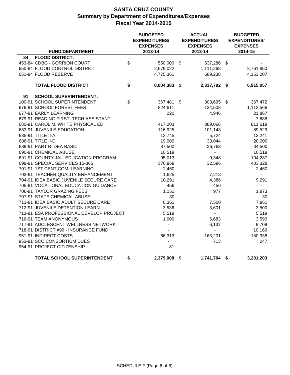| <b>FUND/DEPARTMENT</b>                  | <b>BUDGETED</b><br><b>EXPENDITURES/</b><br><b>EXPENSES</b><br>2013-14 |   | <b>ACTUAL</b><br><b>EXPENDITURES/</b><br><b>EXPENSES</b><br>2013-14 | <b>BUDGETED</b><br><b>EXPENDITURES/</b><br><b>EXPENSES</b><br>2014-15 |           |  |  |
|-----------------------------------------|-----------------------------------------------------------------------|---|---------------------------------------------------------------------|-----------------------------------------------------------------------|-----------|--|--|
| <b>FLOOD DISTRICT:</b><br>84            |                                                                       |   |                                                                     |                                                                       |           |  |  |
| 453-84 CDBG - GORRION COURT             | \$<br>550,000 \$                                                      |   | 537,286 \$                                                          |                                                                       |           |  |  |
| 650-84 FLOOD CONTROL DISTRICT           | 2,679,022                                                             |   | 1,111,268                                                           |                                                                       | 2,761,850 |  |  |
| 651-84 FLOOD RESERVE                    | 4,775,361                                                             |   | 689,238                                                             |                                                                       | 4,153,207 |  |  |
| <b>TOTAL FLOOD DISTRICT</b>             | \$<br>8,004,383 \$                                                    |   | 2,337,792 \$                                                        |                                                                       | 6,915,057 |  |  |
| 91<br><b>SCHOOL SUPERINTENDENT:</b>     |                                                                       |   |                                                                     |                                                                       |           |  |  |
| 100-91 SCHOOL SUPERINTENDENT            | \$<br>367,481                                                         | S | 303,695                                                             | \$                                                                    | 367,472   |  |  |
| 676-91 SCHOOL FOREST FEES               | 824,611                                                               |   | 134,508                                                             |                                                                       | 1,113,566 |  |  |
| 677-91 EARLY LEARNING                   | 220                                                                   |   | 4,946                                                               |                                                                       | 21,867    |  |  |
| 679-91 READING FIRST, TECH ASSISTANT    | $\blacksquare$                                                        |   | $\blacksquare$                                                      |                                                                       | 7,688     |  |  |
| 680-91 CAROL M. WHITE PHYSICAL ED       | 417,203                                                               |   | 889,066                                                             |                                                                       | 811,619   |  |  |
| 683-91 JUVENILE EDUCATION               | 116,925                                                               |   | 101,148                                                             |                                                                       | 89,529    |  |  |
| 685-91 TITLE II-A                       | 12,745                                                                |   | 5,724                                                               |                                                                       | 12,241    |  |  |
| 686-91 TITLE II-D                       | 19,000                                                                |   | 33,044                                                              |                                                                       | 20,000    |  |  |
| 689-91 PART B IDEA BASIC                | 37,500                                                                |   | 26,763                                                              |                                                                       | 34,500    |  |  |
| 690-91 CHEMICAL ABUSE                   | 10,519                                                                |   | $\blacksquare$                                                      |                                                                       | 10,519    |  |  |
| 691-91 COUNTY JAIL EDUCATION PROGRAM    | 95,013                                                                |   | 9,348                                                               |                                                                       | 104,287   |  |  |
| 699-91 SPECIAL SERVICES 15-365          | 376,968                                                               |   | 32,596                                                              |                                                                       | 403,328   |  |  |
| 701-91 1ST CENT COM. LEARNING           | 2,460                                                                 |   | $\blacksquare$                                                      |                                                                       | 2,460     |  |  |
| 703-91 TEACHER QUALITY ENHANCEMENT      | 1,625                                                                 |   | 7,218                                                               |                                                                       |           |  |  |
| 704-91 IDEA BASIC JUVENILE SECURE CARE  | 10,291                                                                |   | 4,386                                                               |                                                                       | 9,291     |  |  |
| 705-91 VOCATIONAL EDUCATION GUIDANCE    | 456                                                                   |   | 456                                                                 |                                                                       | $\sim$    |  |  |
| 706-91 TAYLOR GRAZING FEES              | 1,151                                                                 |   | 977                                                                 |                                                                       | 1,873     |  |  |
| 707-91 STATE CHEMICAL ABUSE             | 30                                                                    |   | $\mathbf{r}$                                                        |                                                                       | 30        |  |  |
| 711-91 IDEA BASIC ADULT SECURE CARE     | 8,361                                                                 |   | 7,500                                                               |                                                                       | 7,861     |  |  |
| 712-91 JUVENILE DETENTION LEARN         | 3,536                                                                 |   | 3,601                                                               |                                                                       | 3,500     |  |  |
| 713-91 ESA PROFESSIONAL DEVELOP PROJECT | 5,519                                                                 |   | $\blacksquare$                                                      |                                                                       | 5,519     |  |  |
| 716-91 TEAM ANONYMOUS                   | 1,000                                                                 |   | 6,683                                                               |                                                                       | 3,590     |  |  |
| 717-91 ADOLESCENT WELLNESS NETWORK      |                                                                       |   | 6,132                                                               |                                                                       | 9,709     |  |  |
| 718-91 DISTRICT #99 - INSURANCE FUND    |                                                                       |   | $\overline{a}$                                                      |                                                                       | 10,169    |  |  |
| 951-91 INDIRECT COSTS                   | 66,313                                                                |   | 163,201                                                             |                                                                       | 150,338   |  |  |
| 953-91 SCC CONSORTIUM DUES              |                                                                       |   | 713                                                                 |                                                                       | 247       |  |  |
| 954-91 PROJECT CITIZENSHIP              | 81                                                                    |   |                                                                     |                                                                       |           |  |  |
| TOTAL SCHOOL SUPERINTENDENT             | \$<br>2,379,008 \$                                                    |   | 1,741,704 \$                                                        |                                                                       | 3,201,203 |  |  |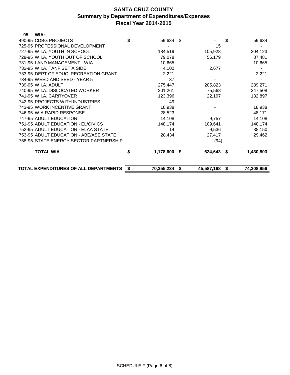| 95 | WIA:                                   |      |            |      |            |                  |
|----|----------------------------------------|------|------------|------|------------|------------------|
|    | 490-95 CDBG PROJECTS                   | \$   | 59,634     | \$   |            | \$<br>59,634     |
|    | 725-95 PROFESSIONAL DEVELOPMENT        |      |            |      | 15         |                  |
|    | 727-95 W.I.A. YOUTH IN SCHOOL          |      | 184,519    |      | 105,928    | 204,123          |
|    | 728-95 W.I.A. YOUTH OUT OF SCHOOL      |      | 79,078     |      | 56,179     | 87,481           |
|    | 731-95 LAND MANAGEMENT - WIA           |      | 10,665     |      |            | 10,665           |
|    | 732-95 W.I.A. TANF SET A SIDE          |      | 4,102      |      | 2,677      |                  |
|    | 733-95 DEPT OF EDUC. RECREATION GRANT  |      | 2,221      |      |            | 2,221            |
|    | 734-95 WEED AND SEED - YEAR 5          |      | 37         |      |            |                  |
|    | 739-95 W.I.A. ADULT                    |      | 275,447    |      | 205,823    | 289,271          |
|    | 740-95 W.I.A. DISLOCATED WORKER        |      | 201,261    |      | 75,568     | 347,508          |
|    | 741-95 W.I.A. CARRYOVER                |      | 123,396    |      | 22,197     | 132,897          |
|    | 742-95 PROJECTS WITH INDUSTRIES        |      | 49         |      |            |                  |
|    | 743-95 WORK INCENTIVE GRANT            |      | 18,938     |      |            | 18,938           |
|    | 746-95 WIA RAPID RESPONSE              |      | 28,523     |      |            | 48,171           |
|    | 747-95 ADULT EDUCATION                 |      | 14,108     |      | 9,757      | 14,108           |
|    | 751-95 ADULT EDUCATION - EL/CIVICS     |      | 148,174    |      | 109,641    | 148,174          |
|    | 752-95 ADULT EDUCATION - ELAA STATE    |      | 14         |      | 9,536      | 38,150           |
|    | 753-95 ADULT EDUCATION - ABE/ASE STATE |      | 28,434     |      | 27,417     | 29,462           |
|    | 758-95 STATE ENERGY SECTOR PARTNERSHIP |      |            |      | (94)       |                  |
|    | <b>TOTAL WIA</b>                       | \$   | 1,178,600  | - \$ | 624,643 \$ | 1,430,803        |
|    | TOTAL EXPENDITURES OF ALL DEPARTMENTS  | - \$ | 70,355,234 | \$   | 45,587,168 | \$<br>74,308,956 |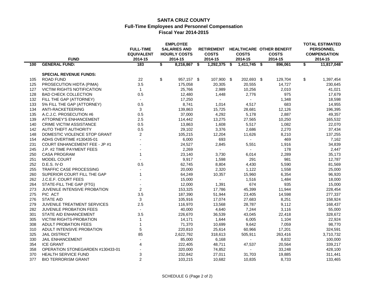#### **SANTA CRUZ COUNTY Full-Time Employees and Personnel Compensation Fiscal Year 2014-2015**

| <b>EMPLOYEE</b> |                                      |                   |    |                     |  |                   |  |                          |  |                                 |    | <b>TOTAL ESTIMATED</b> |
|-----------------|--------------------------------------|-------------------|----|---------------------|--|-------------------|--|--------------------------|--|---------------------------------|----|------------------------|
|                 |                                      | <b>FULL-TIME</b>  |    | <b>SALARIES AND</b> |  | <b>RETIREMENT</b> |  |                          |  | <b>HEALTHCARE OTHER BENEFIT</b> |    | <b>PERSONNEL</b>       |
|                 |                                      | <b>EQUIVALENT</b> |    | <b>HOURLY COSTS</b> |  | <b>COSTS</b>      |  | <b>COSTS</b>             |  | <b>COSTS</b>                    |    | <b>COMPENSATION</b>    |
|                 | <b>FUND</b>                          | 2014-15           |    | 2014-15             |  | 2014-15           |  | 2014-15                  |  | 2014-15                         |    | 2014-15                |
| 100             | <b>GENERAL FUND:</b>                 | 183               | \$ | 8,216,867 \$        |  | $1,292,375$ \$    |  | $1,411,745$ \$           |  | 896,061                         | \$ | 11,817,048             |
|                 | <b>SPECIAL REVENUE FUNDS:</b>        |                   |    |                     |  |                   |  |                          |  |                                 |    |                        |
| 105             | <b>ROAD FUND</b>                     | 22                | \$ | 957,157 \$          |  | 107,900 \$        |  | 202,693 \$               |  | 129,704                         | \$ | 1,397,454              |
| 125             | PROSECUTION HIDTA (PIMA)             | 3.5               |    | 175,058             |  | 20,305            |  | 20,555                   |  | 14,727                          |    | 230,645                |
| 127             | <b>VICTIM RIGHTS NOTIFICATION</b>    | $\mathbf{1}$      |    | 25,766              |  | 2,989             |  | 10,256                   |  | 2,010                           |    | 41,021                 |
| 128             | <b>BAD CHECK COLLECTION</b>          | 0.5               |    | 12,480              |  | 1,448             |  | 2,776                    |  | 975                             |    | 17,679                 |
| 132             | FILL THE GAP (ATTORNEY)              | $\blacksquare$    |    | 17,250              |  |                   |  | $\blacksquare$           |  | 1,348                           |    | 18,598                 |
| 133             | 5% FILL THE GAP (ATTORNEY)           | 0.5               |    | 8,741               |  | 1,014             |  | 4,517                    |  | 683                             |    | 14,955                 |
| 134             | ANTI-RACKETEERING                    | 3                 |    | 139,863             |  | 15,725            |  | 28,681                   |  | 12,126                          |    | 196,395                |
| 135             | A.C.J.C. PROSECUTION #6              | 0.5               |    | 37,000              |  | 4,292             |  | 5,178                    |  | 2,887                           |    | 49,357                 |
| 139             | <b>ATTORNEY'S ENHANCEMENT</b>        | 2.5               |    | 114,442             |  | 13,275            |  | 27,565                   |  | 10,250                          |    | 165,532                |
| 140             | <b>CRIME VICTIM ASSISTANCE</b>       | 0.5               |    | 13,863              |  | 1,608             |  | 5,517                    |  | 1,082                           |    | 22,070                 |
| 142             | AUTO THEFT AUTHORITY                 | 0.5               |    | 29,102              |  | 3,376             |  | 2,686                    |  | 2,270                           |    | 37,434                 |
| 148             | DOMESTIC VIOLENCE STOP GRANT         | $\overline{2}$    |    | 105,215             |  | 12,204            |  | 11,626                   |  | 8,210                           |    | 137,255                |
| 154             | ADHS OVERTIME #130435-01             |                   |    | 6,000               |  | 693               |  |                          |  | 469                             |    | 7,162                  |
| 231             | <b>COURT ENHANCEMENT FEE - JP #1</b> |                   |    | 24,527              |  | 2,845             |  | 5,551                    |  | 1,916                           |    | 34,839                 |
| 245             | J.P. #2 TIME PAYMENT FEES            |                   |    | 2,269               |  | $\sim$            |  | $\overline{\phantom{a}}$ |  | 178                             |    | 2,447                  |
| 250             | <b>CASA PROGRAM</b>                  | $\mathbf{1}$      |    | 23,140              |  | 3,730             |  | 6,014                    |  | 2,289                           |    | 35,173                 |
| 251             | MODEL COURT                          |                   |    | 9,917               |  | 1,598             |  | 291                      |  | 981                             |    | 12,787                 |
| 252             | D.E.S. IV-D                          | 0.5               |    | 62,745              |  | 8,804             |  | 4,430                    |  | 5,590                           |    | 81,569                 |
| 255             | TRAFFIC CASE PROCESSING              |                   |    | 20,000              |  | 2,320             |  | 1,122                    |  | 1,558                           |    | 25,000                 |
| 260             | SUPERIOR COURT FILL THE GAP          | $\mathbf{1}$      |    | 64,249              |  | 10,357            |  | 15,960                   |  | 6,354                           |    | 96,920                 |
| 262             | J.C.E.F. COURT FEES                  |                   |    | 15,000              |  |                   |  | 1,516                    |  | 1,484                           |    | 18,000                 |
| 264             | STATE-FILL THE GAP (FTG)             |                   |    | 12,000              |  | 1,391             |  | 674                      |  | 935                             |    | 15,000                 |
| 273             | <b>JUVENILE INTENSIVE PROBATION</b>  | $\overline{2}$    |    | 153,325             |  | 17,786            |  | 45,399                   |  | 11,944                          |    | 228,454                |
| 275             | PIC ACT                              | 3.5               |    | 187,390             |  | 51,944            |  | 23,405                   |  | 14,598                          |    | 277,337                |
| 276             | <b>STATE AID</b>                     | 3                 |    | 105,916             |  | 17,074            |  | 27,683                   |  | 8,251                           |    | 158,924                |
| 279             | JUVENILE TREATMENT SERVICES          | 2.5               |    | 116,970             |  | 13,568            |  | 28,787                   |  | 9,112                           |    | 168,437                |
| 282             | JUVENILE PROBATION FEES              | $\sim$            |    | 40,000              |  | 4,640             |  | 7,244                    |  | 3,116                           |    | 55,000                 |
| 301             | STATE AID ENHANCEMENT                | 3.5               |    | 226,670             |  | 36,539            |  | 43,045                   |  | 22,418                          |    | 328,672                |
| 305             | VICTIM RIGHTS-PROBATION              | $\mathbf{1}$      |    | 14,171              |  | 1,644             |  | 6,005                    |  | 1,104                           |    | 22,924                 |
| 308             | ADULT PROBATION FEES                 | $\mathbf{1}$      |    | 71,370              |  | 10,699            |  | 9,642                    |  | 7,059                           |    | 98,770                 |
| 310             | ADULT INTENSIVE PROBATION            | 5                 |    | 220,810             |  | 25,614            |  | 60,966                   |  | 17,201                          |    | 324,591                |
| 325             | <b>JAIL DISTRICT</b>                 | 85                |    | 2,622,792           |  | 318,613           |  | 505,911                  |  | 263,416                         |    | 3,710,732              |
| 330             | <b>JAIL ENHANCEMENT</b>              |                   |    | 85,000              |  | 6,168             |  |                          |  | 8,832                           |    | 100,000                |
| 354             | <b>ICE GRANT</b>                     | 4                 |    | 222,405             |  | 48,711            |  | 47,537                   |  | 20,564                          |    | 339,217                |
| 358             | OPERATION STONEGARDEN #130433-01     |                   |    | 320,000             |  | 74,852            |  | $\blacksquare$           |  | 33,248                          |    | 428,100                |
| 370             | <b>HEALTH SERVICE FUND</b>           | 3                 |    | 232,842             |  | 27,011            |  | 31,703                   |  | 19,885                          |    | 311,441                |
| 377             | <b>BIO TERRORISM GRANT</b>           | $\overline{2}$    |    | 103,215             |  | 10,682            |  | 10,835                   |  | 8,733                           |    | 133,465                |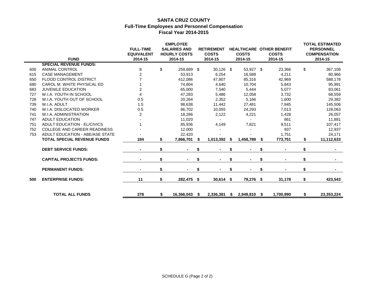#### **SANTA CRUZ COUNTY Full-Time Employees and Personnel Compensation Fiscal Year 2014-2015**

|            |                                              | <b>FULL-TIME</b><br><b>EQUIVALENT</b> | <b>EMPLOYEE</b><br><b>SALARIES AND</b><br><b>HOURLY COSTS</b> |      | <b>RETIREMENT</b><br><b>COSTS</b> |      | <b>COSTS</b>     | <b>HEALTHCARE OTHER BENEFIT</b><br><b>COSTS</b> | <b>TOTAL ESTIMATED</b><br><b>PERSONNEL</b><br><b>COMPENSATION</b> |
|------------|----------------------------------------------|---------------------------------------|---------------------------------------------------------------|------|-----------------------------------|------|------------------|-------------------------------------------------|-------------------------------------------------------------------|
|            | <b>FUND</b><br><b>SPECIAL REVENUE FUNDS:</b> | 2014-15                               | 2014-15                                                       |      | 2014-15                           |      | 2014-15          | 2014-15                                         | 2014-15                                                           |
|            | <b>ANIMAL CONTROL</b>                        |                                       | 259,689 \$                                                    |      | 30,126 \$                         |      |                  |                                                 | \$<br>367,108                                                     |
| 600<br>615 | <b>CASE MANAGEMENT</b>                       | 8<br>$\overline{2}$                   | \$<br>53,913                                                  |      | 6,254                             |      | 53,927 \$        | 23,366                                          |                                                                   |
| 650        | <b>FLOOD CONTROL DISTRICT</b>                |                                       | 412,086                                                       |      | 47,807                            |      | 16,588<br>85,316 | 4,211                                           | 80,966                                                            |
| 680        | CAROL M. WHITE PHYSICAL ED                   |                                       | 74,804                                                        |      | 4,640                             |      | 10,704           | 42,969                                          | 588,178                                                           |
|            | <b>JUVENILE EDUCATION</b>                    | 2                                     | 65,000                                                        |      |                                   |      | 5,444            | 5,843<br>5,077                                  | 95,991                                                            |
| 683<br>727 | W.I.A. YOUTH IN SCHOOL                       |                                       |                                                               |      | 7,540                             |      |                  |                                                 | 83,061                                                            |
| 728        | W.I.A. YOUTH OUT OF SCHOOL                   | 0.5                                   | 47,283<br>20,264                                              |      | 5,486                             |      | 12,058           | 3,732                                           | 68,559                                                            |
| 739        | W.I.A. ADULT                                 |                                       |                                                               |      | 2,352                             |      | 5,166            | 1,600                                           | 29,382                                                            |
|            | W.I.A. DISLOCATED WORKER                     | 1.5                                   | 98,638                                                        |      | 11,442                            |      | 27,481           | 7,945                                           | 145,506                                                           |
| 740        |                                              | 0.5                                   | 86,702                                                        |      | 10,055                            |      | 24,293           | 7,013                                           | 128,063                                                           |
| 741        | W.I.A. ADMINISTRATION                        | 2                                     | 18,286                                                        |      | 2,122                             |      | 4,221            | 1,428                                           | 26,057                                                            |
| 747        | <b>ADULT EDUCATION</b>                       |                                       | 11,020                                                        |      |                                   |      |                  | 861                                             | 11,881                                                            |
| 751        | <b>ADULT EDUCATION - EL/CIVICS</b>           |                                       | 85,936                                                        |      | 4,149                             |      | 7,821            | 9,511                                           | 107,417                                                           |
| 752        | <b>COLLEGE AND CAREER READINESS</b>          |                                       | 12,000                                                        |      |                                   |      |                  | 937                                             | 12,937                                                            |
| 753        | ADULT EDUCATION - ABE/ASE STATE              |                                       | 22,420                                                        |      |                                   |      |                  | 1,751                                           | 24,171                                                            |
|            | <b>TOTAL SPECIAL REVENUE FUNDS</b>           | 184                                   | \$<br>7,866,701                                               |      | 1,013,392                         | \$   | 1,458,789 \$     | 773,751                                         | 11,112,633                                                        |
|            | <b>DEBT SERVICE FUNDS:</b>                   |                                       | \$                                                            |      |                                   | \$   |                  | \$                                              | \$                                                                |
|            | <b>CAPITAL PROJECTS FUNDS:</b>               |                                       | \$<br>$\blacksquare$                                          | \$   |                                   | \$   |                  | \$                                              | \$                                                                |
|            | <b>PERMANENT FUNDS:</b>                      |                                       | \$                                                            | \$   |                                   | \$   |                  | \$                                              | \$                                                                |
| 500        | <b>ENTERPRISE FUNDS:</b>                     | 11                                    | \$<br>282,475                                                 | - \$ | $30,614$ \$                       |      | 79,276 \$        | 31,178                                          | \$<br>423,543                                                     |
|            | <b>TOTAL ALL FUNDS</b>                       | 378                                   | \$<br>16,366,043                                              | - \$ | 2,336,381                         | - \$ | 2,949,810 \$     | 1,700,990                                       | \$<br>23,353,224                                                  |